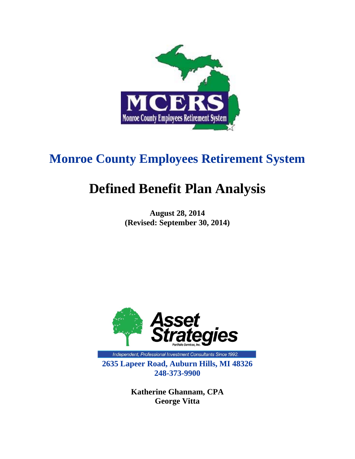

# **Monroe County Employees Retirement System**

# **Defined Benefit Plan Analysis**

**August 28, 2014 (Revised: September 30, 2014)** 



Independent, Professional Investment Consultants Since 1992. **2635 Lapeer Road, Auburn Hills, MI 48326 248-373-9900** 

> **Katherine Ghannam, CPA George Vitta**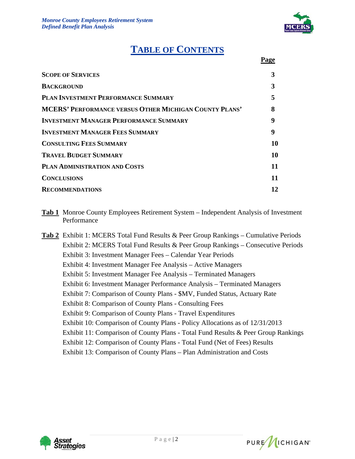

# **TABLE OF CONTENTS**

| Page |
|------|
|      |

| <b>SCOPE OF SERVICES</b>                                      | 3  |
|---------------------------------------------------------------|----|
| <b>BACKGROUND</b>                                             | 3  |
| <b>PLAN INVESTMENT PERFORMANCE SUMMARY</b>                    |    |
| <b>MCERS' PERFORMANCE VERSUS OTHER MICHIGAN COUNTY PLANS'</b> | 8  |
| <b>INVESTMENT MANAGER PERFORMANCE SUMMARY</b>                 | 9  |
| <b>INVESTMENT MANAGER FEES SUMMARY</b>                        | 9  |
| <b>CONSULTING FEES SUMMARY</b>                                | 10 |
| <b>TRAVEL BUDGET SUMMARY</b>                                  | 10 |
| PLAN ADMINISTRATION AND COSTS                                 | 11 |
| <b>CONCLUSIONS</b>                                            | 11 |
| <b>RECOMMENDATIONS</b>                                        | 12 |
|                                                               |    |

- **Tab 1** Monroe County Employees Retirement System Independent Analysis of Investment Performance
- **Tab 2** Exhibit 1: MCERS Total Fund Results & Peer Group Rankings Cumulative Periods Exhibit 2: MCERS Total Fund Results & Peer Group Rankings – Consecutive Periods Exhibit 3: Investment Manager Fees – Calendar Year Periods Exhibit 4: Investment Manager Fee Analysis – Active Managers Exhibit 5: Investment Manager Fee Analysis – Terminated Managers Exhibit 6: Investment Manager Performance Analysis – Terminated Managers Exhibit 7: Comparison of County Plans - \$MV, Funded Status, Actuary Rate Exhibit 8: Comparison of County Plans - Consulting Fees Exhibit 9: Comparison of County Plans - Travel Expenditures Exhibit 10: Comparison of County Plans - Policy Allocations as of 12/31/2013 Exhibit 11: Comparison of County Plans - Total Fund Results & Peer Group Rankings Exhibit 12: Comparison of County Plans - Total Fund (Net of Fees) Results Exhibit 13: Comparison of County Plans – Plan Administration and Costs



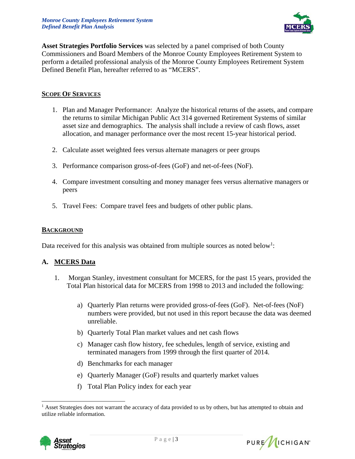

**Asset Strategies Portfolio Services** was selected by a panel comprised of both County Commissioners and Board Members of the Monroe County Employees Retirement System to perform a detailed professional analysis of the Monroe County Employees Retirement System Defined Benefit Plan, hereafter referred to as "MCERS".

#### **SCOPE OF SERVICES**

- 1. Plan and Manager Performance: Analyze the historical returns of the assets, and compare the returns to similar Michigan Public Act 314 governed Retirement Systems of similar asset size and demographics. The analysis shall include a review of cash flows, asset allocation, and manager performance over the most recent 15-year historical period.
- 2. Calculate asset weighted fees versus alternate managers or peer groups
- 3. Performance comparison gross-of-fees (GoF) and net-of-fees (NoF).
- 4. Compare investment consulting and money manager fees versus alternative managers or peers
- 5. Travel Fees: Compare travel fees and budgets of other public plans.

#### **BACKGROUND**

Data received for this analysis was obtained from multiple sources as noted below<sup>1</sup>:

#### **A. MCERS Data**

- 1. Morgan Stanley, investment consultant for MCERS, for the past 15 years, provided the Total Plan historical data for MCERS from 1998 to 2013 and included the following:
	- a) Quarterly Plan returns were provided gross-of-fees (GoF). Net-of-fees (NoF) numbers were provided, but not used in this report because the data was deemed unreliable.
	- b) Quarterly Total Plan market values and net cash flows
	- c) Manager cash flow history, fee schedules, length of service, existing and terminated managers from 1999 through the first quarter of 2014.
	- d) Benchmarks for each manager
	- e) Quarterly Manager (GoF) results and quarterly market values
	- f) Total Plan Policy index for each year

<sup>&</sup>lt;sup>1</sup> Asset Strategies does not warrant the accuracy of data provided to us by others, but has attempted to obtain and utilize reliable information.



 $\overline{a}$ 

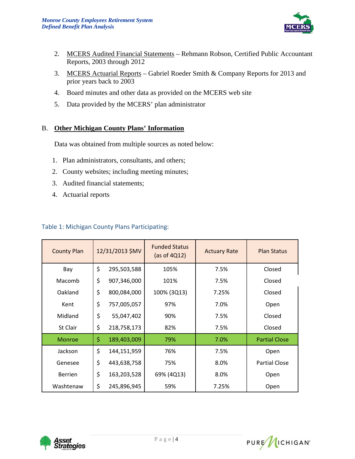

- 2. MCERS Audited Financial Statements Rehmann Robson, Certified Public Accountant Reports, 2003 through 2012
- 3. MCERS Actuarial Reports Gabriel Roeder Smith & Company Reports for 2013 and prior years back to 2003
- 4. Board minutes and other data as provided on the MCERS web site
- 5. Data provided by the MCERS' plan administrator

#### B. **Other Michigan County Plans' Information**

Data was obtained from multiple sources as noted below:

- 1. Plan administrators, consultants, and others;
- 2. County websites; including meeting minutes;
- 3. Audited financial statements;
- 4. Actuarial reports

#### Table 1: Michigan County Plans Participating:

| <b>County Plan</b> | 12/31/2013 \$MV |             | <b>Funded Status</b><br>(as of $4Q12$ ) | <b>Actuary Rate</b> | <b>Plan Status</b>   |  |
|--------------------|-----------------|-------------|-----------------------------------------|---------------------|----------------------|--|
| Bay                | \$              | 295,503,588 | 105%                                    | 7.5%                | Closed               |  |
| Macomb             | \$              | 907,346,000 | 101%                                    | 7.5%                | Closed               |  |
| Oakland            | \$              | 800,084,000 | 100% (3Q13)                             | 7.25%               | Closed               |  |
| Kent               | \$              | 757,005,057 | 97%                                     | 7.0%                | Open                 |  |
| Midland            | \$              | 55,047,402  | 90%                                     | 7.5%                | Closed               |  |
| St Clair           | \$              | 218,758,173 | 82%                                     | 7.5%                | Closed               |  |
| <b>Monroe</b>      | \$              | 189,403,009 | 79%                                     | 7.0%                | <b>Partial Close</b> |  |
| Jackson            | \$              | 144,151,959 | 76%                                     | 7.5%                | Open                 |  |
| Genesee            | \$              | 443,638,758 | 75%                                     | 8.0%                | <b>Partial Close</b> |  |
| <b>Berrien</b>     | \$              | 163,203,528 | 69% (4Q13)                              | 8.0%                | Open                 |  |
| Washtenaw          | \$              | 245,896,945 | 59%                                     | 7.25%               | Open                 |  |



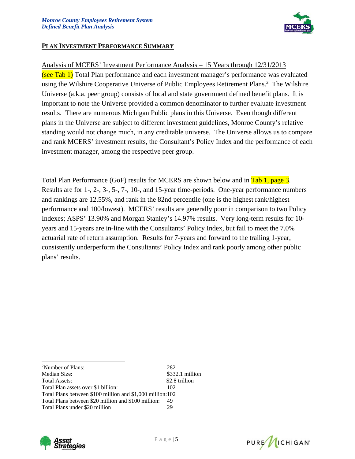

#### **PLAN INVESTMENT PERFORMANCE SUMMARY**

#### Analysis of MCERS' Investment Performance Analysis – 15 Years through 12/31/2013

(see Tab 1) Total Plan performance and each investment manager's performance was evaluated using the Wilshire Cooperative Universe of Public Employees Retirement Plans.<sup>2</sup> The Wilshire Universe (a.k.a. peer group) consists of local and state government defined benefit plans. It is important to note the Universe provided a common denominator to further evaluate investment results. There are numerous Michigan Public plans in this Universe. Even though different plans in the Universe are subject to different investment guidelines, Monroe County's relative standing would not change much, in any creditable universe. The Universe allows us to compare and rank MCERS' investment results, the Consultant's Policy Index and the performance of each investment manager, among the respective peer group.

Total Plan Performance (GoF) results for MCERS are shown below and in Tab 1, page 3. Results are for 1-, 2-, 3-, 5-, 7-, 10-, and 15-year time-periods. One-year performance numbers and rankings are 12.55%, and rank in the 82nd percentile (one is the highest rank/highest performance and 100/lowest). MCERS' results are generally poor in comparison to two Policy Indexes; ASPS' 13.90% and Morgan Stanley's 14.97% results. Very long-term results for 10 years and 15-years are in-line with the Consultants' Policy Index, but fail to meet the 7.0% actuarial rate of return assumption. Results for 7-years and forward to the trailing 1-year, consistently underperform the Consultants' Policy Index and rank poorly among other public plans' results.

| <sup>2</sup> Number of Plans:                             | 282             |
|-----------------------------------------------------------|-----------------|
| Median Size:                                              | \$332.1 million |
| <b>Total Assets:</b>                                      | \$2.8 trillion  |
| Total Plan assets over \$1 billion:                       | 102             |
| Total Plans between \$100 million and \$1,000 million:102 |                 |
| Total Plans between \$20 million and \$100 million:       | 49              |
| Total Plans under \$20 million                            | 29              |



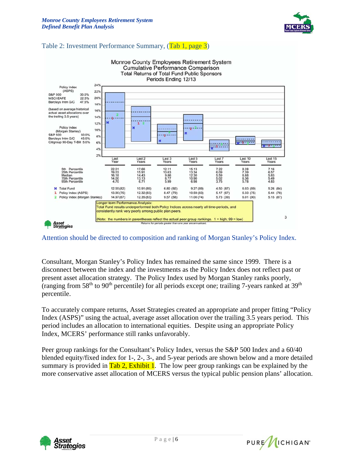

#### Table 2: Investment Performance Summary, (Tab 1, page 3)



Attention should be directed to composition and ranking of Morgan Stanley's Policy Index.

Consultant, Morgan Stanley's Policy Index has remained the same since 1999. There is a disconnect between the index and the investments as the Policy Index does not reflect past or present asset allocation strategy. The Policy Index used by Morgan Stanley ranks poorly, (ranging from 58<sup>th</sup> to 90<sup>th</sup> percentile) for all periods except one; trailing 7-years ranked at 39<sup>th</sup> percentile.

To accurately compare returns, Asset Strategies created an appropriate and proper fitting "Policy Index (ASPS)" using the actual, average asset allocation over the trailing 3.5 years period. This period includes an allocation to international equities. Despite using an appropriate Policy Index, MCERS' performance still ranks unfavorably.

Peer group rankings for the Consultant's Policy Index, versus the S&P 500 Index and a 60/40 blended equity/fixed index for 1-, 2-, 3-, and 5-year periods are shown below and a more detailed summary is provided in  $\frac{\text{Tab }2, \text{Exhibit }1}{\text{C}}$ . The low peer group rankings can be explained by the more conservative asset allocation of MCERS versus the typical public pension plans' allocation.



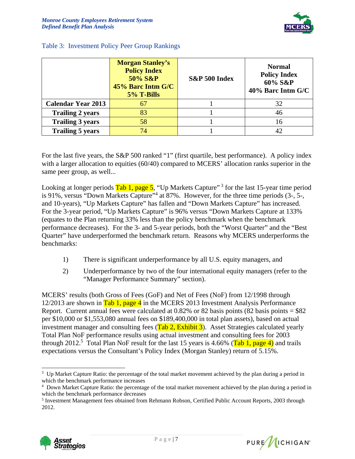

|                           | <b>Morgan Stanley's</b><br><b>Policy Index</b><br>50% S&P<br>45% Barc Intm G/C<br>5% T-Bills | S&P 500 Index | <b>Normal</b><br><b>Policy Index</b><br>60% S&P<br>40% Barc Intm G/C |
|---------------------------|----------------------------------------------------------------------------------------------|---------------|----------------------------------------------------------------------|
| <b>Calendar Year 2013</b> | 67                                                                                           |               | 32                                                                   |
| <b>Trailing 2 years</b>   | 83                                                                                           |               | 46                                                                   |
| <b>Trailing 3 years</b>   | 58                                                                                           |               | 16                                                                   |
| <b>Trailing 5 years</b>   | 74                                                                                           |               | 42.                                                                  |

#### Table 3: Investment Policy Peer Group Rankings

For the last five years, the S&P 500 ranked "1" (first quartile, best performance). A policy index with a larger allocation to equities (60/40) compared to MCERS' allocation ranks superior in the same peer group, as well...

Looking at longer periods  $\frac{\text{Tab}}{\text{lab}}$  1, page 5, "Up Markets Capture"<sup>3</sup> for the last 15-year time period is 91%, versus "Down Markets Capture"<sup>4</sup> at 87%. However, for the three time periods (3-, 5-, and 10-years), "Up Markets Capture" has fallen and "Down Markets Capture" has increased. For the 3-year period, "Up Markets Capture" is 96% versus "Down Markets Capture at 133% (equates to the Plan returning 33% less than the policy benchmark when the benchmark performance decreases). For the 3- and 5-year periods, both the "Worst Quarter" and the "Best Quarter" have underperformed the benchmark return. Reasons why MCERS underperforms the benchmarks:

- 1) There is significant underperformance by all U.S. equity managers, and
- 2) Underperformance by two of the four international equity managers (refer to the "Manager Performance Summary" section).

MCERS' results (both Gross of Fees (GoF) and Net of Fees (NoF) from 12/1998 through 12/2013 are shown in Tab 1, page 4 in the MCERS 2013 Investment Analysis Performance Report. Current annual fees were calculated at  $0.82\%$  or 82 basis points (82 basis points = \$82) per \$10,000 or \$1,553,080 annual fees on \$189,400,000 in total plan assets), based on actual investment manager and consulting fees  $(Tab 2, Exhibit 3)$ . Asset Strategies calculated yearly Total Plan NoF performance results using actual investment and consulting fees for 2003 through 2012.<sup>5</sup> Total Plan NoF result for the last 15 years is 4.66% (Tab 1, page 4) and trails expectations versus the Consultant's Policy Index (Morgan Stanley) return of 5.15%.



 $\overline{\phantom{a}}$ 



<sup>&</sup>lt;sup>3</sup> Up Market Capture Ratio: the percentage of the total market movement achieved by the plan during a period in which the benchmark performance increases

<sup>4</sup> Down Market Capture Ratio: the percentage of the total market movement achieved by the plan during a period in which the benchmark performance decreases

<sup>&</sup>lt;sup>5</sup> Investment Management fees obtained from Rehmann Robson, Certified Public Account Reports, 2003 through 2012.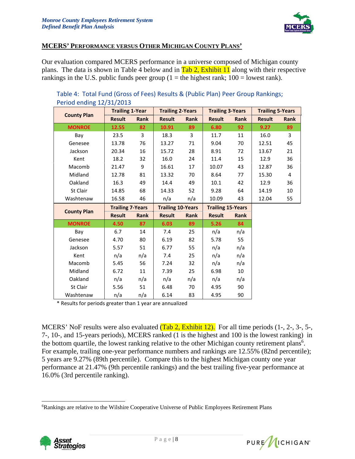

#### **MCERS' PERFORMANCE VERSUS OTHER MICHIGAN COUNTY PLANS'**

Our evaluation compared MCERS performance in a universe composed of Michigan county plans. The data is shown in Table 4 below and in  $\frac{\text{Tab}}{\text{lab 2}}$ , Exhibit 11 along with their respective rankings in the U.S. public funds peer group (1 = the highest rank;  $100 =$  lowest rank).

| $\frac{1}{2}$ chock entering $\pm$ $\frac{1}{2}$ $\frac{1}{2}$ $\frac{1}{2}$ $\frac{1}{2}$ $\frac{1}{2}$ $\frac{1}{2}$ |                         |             |                         |                          |                         |                          |                         |             |  |
|------------------------------------------------------------------------------------------------------------------------|-------------------------|-------------|-------------------------|--------------------------|-------------------------|--------------------------|-------------------------|-------------|--|
|                                                                                                                        | <b>Trailing 1-Year</b>  |             | <b>Trailing 2-Years</b> |                          | <b>Trailing 3-Years</b> |                          | <b>Trailing 5-Years</b> |             |  |
| <b>County Plan</b>                                                                                                     | <b>Result</b>           | Rank        | <b>Result</b>           | Rank                     | <b>Result</b>           | Rank                     | <b>Result</b>           | <b>Rank</b> |  |
| <b>MONROE</b>                                                                                                          | 12.55                   | 82          | 10.91                   | 89                       | 6.80                    | 92                       | 9.27                    | 89          |  |
| Bay                                                                                                                    | 23.5                    | 3           | 18.3                    | 3                        | 11.7                    | 11                       | 16.0                    | 3           |  |
| Genesee                                                                                                                | 13.78                   | 76          | 13.27                   | 71                       | 9.04                    | 70                       | 12.51                   | 45          |  |
| Jackson                                                                                                                | 20.34                   | 16          | 15.72                   | 28                       | 8.91                    | 72                       | 13.67                   | 21          |  |
| Kent                                                                                                                   | 18.2                    | 32          | 16.0                    | 24                       | 11.4                    | 15                       | 12.9                    | 36          |  |
| Macomb                                                                                                                 | 21.47                   | 9           | 16.61                   | 17                       | 10.07                   | 43                       | 12.87                   | 36          |  |
| Midland                                                                                                                | 12.78                   | 81          | 13.32                   | 70                       | 8.64                    | 77                       | 15.30                   | 4           |  |
| Oakland                                                                                                                | 16.3                    | 49          | 14.4                    | 49                       | 10.1                    | 42                       | 12.9                    | 36          |  |
| St Clair                                                                                                               | 14.85                   | 68          | 14.33                   | 52                       | 9.28                    | 64                       | 14.19                   | 10          |  |
| Washtenaw                                                                                                              | 16.58                   | 46          | n/a                     | n/a                      | 10.09                   | 43                       | 12.04                   | 55          |  |
|                                                                                                                        | <b>Trailing 7-Years</b> |             |                         | <b>Trailing 10-Years</b> |                         | <b>Trailing 15-Years</b> |                         |             |  |
| <b>County Plan</b>                                                                                                     | <b>Result</b>           | <b>Rank</b> | <b>Result</b>           | Rank                     | <b>Result</b>           | <b>Rank</b>              |                         |             |  |
| <b>MONROE</b>                                                                                                          | 4.50                    | 87          | 6.03                    | 89                       | 5.26                    | 84                       |                         |             |  |
| Bay                                                                                                                    | 6.7                     | 14          | 7.4                     | 25                       | n/a                     | n/a                      |                         |             |  |
| Genesee                                                                                                                | 4.70                    | 80          | 6.19                    | 82                       | 5.78                    | 55                       |                         |             |  |
| Jackson                                                                                                                | 5.57                    | 51          | 6.77                    | 55                       | n/a                     | n/a                      |                         |             |  |
|                                                                                                                        |                         |             |                         |                          |                         |                          |                         |             |  |
| Kent                                                                                                                   | n/a                     | n/a         | 7.4                     | 25                       | n/a                     | n/a                      |                         |             |  |
| Macomb                                                                                                                 | 5.45                    | 56          | 7.24                    | 32                       | n/a                     | n/a                      |                         |             |  |
| Midland                                                                                                                | 6.72                    | 11          | 7.39                    | 25                       | 6.98                    | 10                       |                         |             |  |
| Oakland                                                                                                                | n/a                     | n/a         | n/a                     | n/a                      | n/a                     | n/a                      |                         |             |  |
| St Clair                                                                                                               | 5.56                    | 51          | 6.48                    | 70                       | 4.95                    | 90                       |                         |             |  |

#### Table 4: Total Fund (Gross of Fees) Results & (Public Plan) Peer Group Rankings; Period ending 12/31/2013

\* Results for periods greater than 1 year are annualized

MCERS' NoF results were also evaluated (Tab 2, Exhibit 12). For all time periods (1-, 2-, 3-, 5-, 7-, 10-, and 15-years periods), MCERS ranked (1 is the highest and 100 is the lowest ranking) in the bottom quartile, the lowest ranking relative to the other Michigan county retirement plans<sup>6</sup>. For example, trailing one-year performance numbers and rankings are 12.55% (82nd percentile); 5 years are 9.27% (89th percentile). Compare this to the highest Michigan county one year performance at 21.47% (9th percentile rankings) and the best trailing five-year performance at 16.0% (3rd percentile ranking).

<sup>&</sup>lt;sup>6</sup>Rankings are relative to the Wilshire Cooperative Universe of Public Employees Retirement Plans



 $\overline{a}$ 

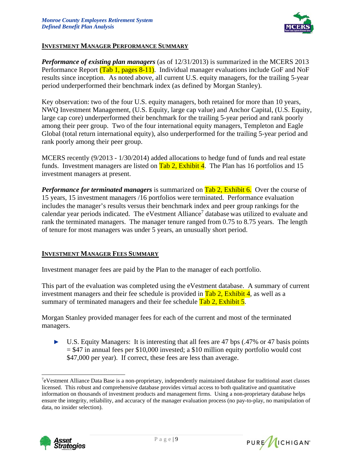

#### **INVESTMENT MANAGER PERFORMANCE SUMMARY**

*Performance of existing plan managers* (as of 12/31/2013) is summarized in the MCERS 2013 Performance Report (Tab 1, pages 8-11). Individual manager evaluations include GoF and NoF results since inception. As noted above, all current U.S. equity managers, for the trailing 5-year period underperformed their benchmark index (as defined by Morgan Stanley).

Key observation: two of the four U.S. equity managers, both retained for more than 10 years, NWQ Investment Management, (U.S. Equity, large cap value) and Anchor Capital, (U.S. Equity, large cap core) underperformed their benchmark for the trailing 5-year period and rank poorly among their peer group. Two of the four international equity managers, Templeton and Eagle Global (total return international equity), also underperformed for the trailing 5-year period and rank poorly among their peer group.

MCERS recently (9/2013 - 1/30/2014) added allocations to hedge fund of funds and real estate funds. Investment managers are listed on  $\frac{\text{Tab }2}{\text{lab }2}$ , Exhibit 4. The Plan has 16 portfolios and 15 investment managers at present.

*Performance for terminated managers* is summarized on **Tab 2, Exhibit 6.** Over the course of 15 years, 15 investment managers /16 portfolios were terminated. Performance evaluation includes the manager's results versus their benchmark index and peer group rankings for the calendar year periods indicated. The eVestment Alliance<sup>7</sup> database was utilized to evaluate and rank the terminated managers. The manager tenure ranged from 0.75 to 8.75 years. The length of tenure for most managers was under 5 years, an unusually short period.

#### **INVESTMENT MANAGER FEES SUMMARY**

Investment manager fees are paid by the Plan to the manager of each portfolio.

This part of the evaluation was completed using the eVestment database. A summary of current investment managers and their fee schedule is provided in  $\frac{\text{Tab}}{\text{lab }2}$ , Exhibit 4, as well as a summary of terminated managers and their fee schedule Tab 2, Exhibit 5.

Morgan Stanley provided manager fees for each of the current and most of the terminated managers.

► U.S. Equity Managers: It is interesting that all fees are 47 bps (.47% or 47 basis points  $= $47$  in annual fees per \$10,000 invested; a \$10 million equity portfolio would cost \$47,000 per year). If correct, these fees are less than average.



l



<sup>7</sup> eVestment Alliance Data Base is a non-proprietary, independently maintained database for traditional asset classes licensed. This robust and comprehensive database provides virtual access to both qualitative and quantitative information on thousands of investment products and management firms. Using a non-proprietary database helps ensure the integrity, reliability, and accuracy of the manager evaluation process (no pay-to-play, no manipulation of data, no insider selection).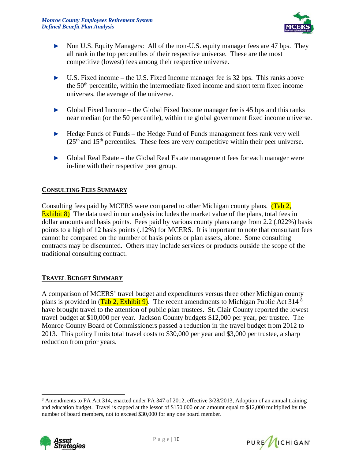

- ► Non U.S. Equity Managers: All of the non-U.S. equity manager fees are 47 bps. They all rank in the top percentiles of their respective universe. These are the most competitive (lowest) fees among their respective universe.
- ► U.S. Fixed income the U.S. Fixed Income manager fee is 32 bps. This ranks above the 50<sup>th</sup> percentile, within the intermediate fixed income and short term fixed income universes, the average of the universe.
- ► Global Fixed Income the Global Fixed Income manager fee is 45 bps and this ranks near median (or the 50 percentile), within the global government fixed income universe.
- ► Hedge Funds of Funds the Hedge Fund of Funds management fees rank very well  $(25<sup>th</sup>$  and  $15<sup>th</sup>$  percentiles. These fees are very competitive within their peer universe.
- ► Global Real Estate the Global Real Estate management fees for each manager were in-line with their respective peer group.

#### **CONSULTING FEES SUMMARY**

Consulting fees paid by MCERS were compared to other Michigan county plans. (Tab 2, **Exhibit 8)** The data used in our analysis includes the market value of the plans, total fees in dollar amounts and basis points. Fees paid by various county plans range from 2.2 (.022%) basis points to a high of 12 basis points (.12%) for MCERS. It is important to note that consultant fees cannot be compared on the number of basis points or plan assets, alone. Some consulting contracts may be discounted. Others may include services or products outside the scope of the traditional consulting contract.

#### **TRAVEL BUDGET SUMMARY**

A comparison of MCERS' travel budget and expenditures versus three other Michigan county plans is provided in  $(Tab 2, Exhibit 9)$ . The recent amendments to Michigan Public Act 314<sup>8</sup> have brought travel to the attention of public plan trustees. St. Clair County reported the lowest travel budget at \$10,000 per year. Jackson County budgets \$12,000 per year, per trustee. The Monroe County Board of Commissioners passed a reduction in the travel budget from 2012 to 2013. This policy limits total travel costs to \$30,000 per year and \$3,000 per trustee, a sharp reduction from prior years.

<sup>&</sup>lt;sup>8</sup> Amendments to PA Act 314, enacted under PA 347 of 2012, effective 3/28/2013, Adoption of an annual training and education budget. Travel is capped at the lessor of \$150,000 or an amount equal to \$12,000 multiplied by the number of board members, not to exceed \$30,000 for any one board member.



l

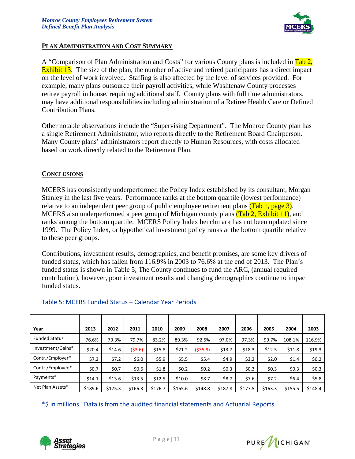

#### **PLAN ADMINISTRATION AND COST SUMMARY**

A "Comparison of Plan Administration and Costs" for various County plans is included in Tab 2, **Exhibit 13.** The size of the plan, the number of active and retired participants has a direct impact on the level of work involved. Staffing is also affected by the level of services provided. For example, many plans outsource their payroll activities, while Washtenaw County processes retiree payroll in house, requiring additional staff. County plans with full time administrators, may have additional responsibilities including administration of a Retiree Health Care or Defined Contribution Plans.

Other notable observations include the "Supervising Department". The Monroe County plan has a single Retirement Administrator, who reports directly to the Retirement Board Chairperson. Many County plans' administrators report directly to Human Resources, with costs allocated based on work directly related to the Retirement Plan.

#### **CONCLUSIONS**

MCERS has consistently underperformed the Policy Index established by its consultant, Morgan Stanley in the last five years. Performance ranks at the bottom quartile (lowest performance) relative to an independent peer group of public employee retirement plans  $(Tab 1, page 3)$ . MCERS also underperformed a peer group of Michigan county plans (Tab 2, Exhibit 11), and ranks among the bottom quartile. MCERS Policy Index benchmark has not been updated since 1999. The Policy Index, or hypothetical investment policy ranks at the bottom quartile relative to these peer groups.

Contributions, investment results, demographics, and benefit promises, are some key drivers of funded status, which has fallen from 116.9% in 2003 to 76.6% at the end of 2013. The Plan's funded status is shown in Table 5; The County continues to fund the ARC, (annual required contribution), however, poor investment results and changing demographics continue to impact funded status.

| Year                 | 2013    | 2012    | 2011     | 2010    | 2009    | 2008      | 2007    | 2006    | 2005    | 2004    | 2003    |
|----------------------|---------|---------|----------|---------|---------|-----------|---------|---------|---------|---------|---------|
| <b>Funded Status</b> | 76.6%   | 79.3%   | 79.7%    | 83.2%   | 89.3%   | 92.5%     | 97.0%   | 97.3%   | 99.7%   | 108.1%  | 116.9%  |
| Investment/Gains*    | \$20.4  | \$14.6  | ( \$3.6) | \$15.8  | \$21.2  | ( \$35.9) | \$13.7  | \$18.3  | \$12.5  | \$11.8  | \$19.3  |
| Contr./Employer*     | \$7.2   | 57.2    | \$6.0\$  | \$5.9   | \$5.5   | \$5.4     | \$4.9   | \$3.2   | \$2.0   | \$1.4   | \$0.2\$ |
| Contr./Employee*     | \$0.7   | \$0.7   | \$0.6    | \$1.8   | \$0.2\$ | \$0.2\$   | \$0.3   | \$0.3\$ | \$0.3\$ | \$0.3\$ | \$0.3   |
| Payments*            | \$14.1  | \$13.6  | \$13.5   | \$12.5  | \$10.0  | \$8.7     | \$8.7   | \$7.6   | \$7.2   | \$6.4\$ | \$5.8   |
| Net Plan Assets*     | \$189.6 | \$175.3 | \$166.3  | \$176.7 | \$165.6 | \$148.8   | \$187.8 | \$177.5 | \$163.3 | \$155.5 | \$148.4 |

#### Table 5: MCERS Funded Status – Calendar Year Periods

\*\$ in millions. Data is from the audited financial statements and Actuarial Reports



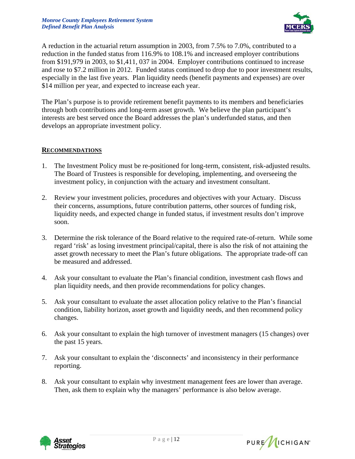

A reduction in the actuarial return assumption in 2003, from 7.5% to 7.0%, contributed to a reduction in the funded status from 116.9% to 108.1% and increased employer contributions from \$191,979 in 2003, to \$1,411, 037 in 2004. Employer contributions continued to increase and rose to \$7.2 million in 2012. Funded status continued to drop due to poor investment results, especially in the last five years. Plan liquidity needs (benefit payments and expenses) are over \$14 million per year, and expected to increase each year.

The Plan's purpose is to provide retirement benefit payments to its members and beneficiaries through both contributions and long-term asset growth. We believe the plan participant's interests are best served once the Board addresses the plan's underfunded status, and then develops an appropriate investment policy.

#### **RECOMMENDATIONS**

- 1. The Investment Policy must be re-positioned for long-term, consistent, risk-adjusted results. The Board of Trustees is responsible for developing, implementing, and overseeing the investment policy, in conjunction with the actuary and investment consultant.
- 2. Review your investment policies, procedures and objectives with your Actuary. Discuss their concerns, assumptions, future contribution patterns, other sources of funding risk, liquidity needs, and expected change in funded status, if investment results don't improve soon.
- 3. Determine the risk tolerance of the Board relative to the required rate-of-return. While some regard 'risk' as losing investment principal/capital, there is also the risk of not attaining the asset growth necessary to meet the Plan's future obligations. The appropriate trade-off can be measured and addressed.
- 4. Ask your consultant to evaluate the Plan's financial condition, investment cash flows and plan liquidity needs, and then provide recommendations for policy changes.
- 5. Ask your consultant to evaluate the asset allocation policy relative to the Plan's financial condition, liability horizon, asset growth and liquidity needs, and then recommend policy changes.
- 6. Ask your consultant to explain the high turnover of investment managers (15 changes) over the past 15 years.
- 7. Ask your consultant to explain the 'disconnects' and inconsistency in their performance reporting.
- 8. Ask your consultant to explain why investment management fees are lower than average. Then, ask them to explain why the managers' performance is also below average.



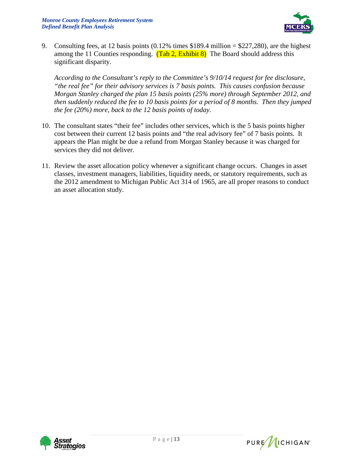

9. Consulting fees, at 12 basis points (0.12% times \$189.4 million = \$227,280), are the highest among the 11 Counties responding.  $(Tab 2, Exhibit 8)$  The Board should address this significant disparity.

 *According to the Consultant's reply to the Committee's 9/10/14 request for fee disclosure, "the real fee" for their advisory services is 7 basis points. This causes confusion because Morgan Stanley charged the plan 15 basis points (25% more) through September 2012, and then suddenly reduced the fee to 10 basis points for a period of 8 months. Then they jumped the fee (20%) more, back to the 12 basis points of today.* 

- 10. The consultant states "their fee" includes other services, which is the 5 basis points higher cost between their current 12 basis points and "the real advisory fee" of 7 basis points. It appears the Plan might be due a refund from Morgan Stanley because it was charged for services they did not deliver.
- 11. Review the asset allocation policy whenever a significant change occurs. Changes in asset classes, investment managers, liabilities, liquidity needs, or statutory requirements, such as the 2012 amendment to Michigan Public Act 314 of 1965, are all proper reasons to conduct an asset allocation study.



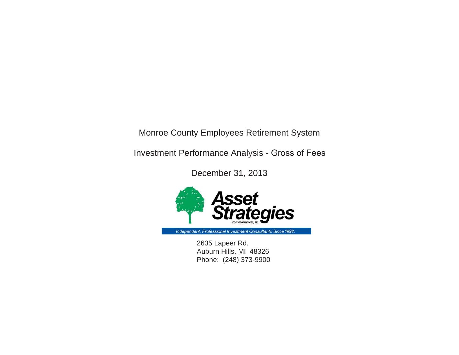Monroe County Employees Retirement System

Investment Performance Analysis - Gross of Fees

December 31, 2013



Independent, Professional Investment Consultants Since 1992.

2635 Lapeer Rd. Auburn Hills, MI 48326 Phone: (248) 373-9900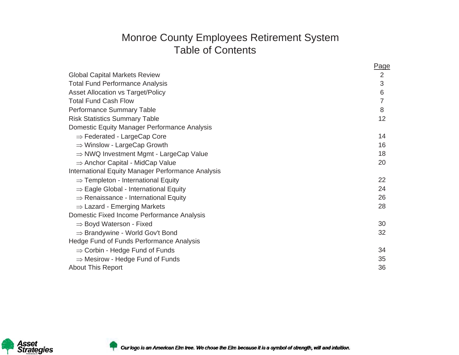# Monroe County Employees Retirement System Table of Contents

|                                                    | Page           |
|----------------------------------------------------|----------------|
| <b>Global Capital Markets Review</b>               | $\overline{2}$ |
| <b>Total Fund Performance Analysis</b>             | 3              |
| <b>Asset Allocation vs Target/Policy</b>           | 6              |
| <b>Total Fund Cash Flow</b>                        | 7              |
| Performance Summary Table                          | 8              |
| <b>Risk Statistics Summary Table</b>               | 12             |
| Domestic Equity Manager Performance Analysis       |                |
| $\Rightarrow$ Federated - LargeCap Core            | 14             |
| $\Rightarrow$ Winslow - LargeCap Growth            | 16             |
| $\Rightarrow$ NWQ Investment Mgmt - LargeCap Value | 18             |
| $\Rightarrow$ Anchor Capital - MidCap Value        | 20             |
| International Equity Manager Performance Analysis  |                |
| $\Rightarrow$ Templeton - International Equity     | 22             |
| $\Rightarrow$ Eagle Global - International Equity  | 24             |
| $\Rightarrow$ Renaissance - International Equity   | 26             |
| $\Rightarrow$ Lazard - Emerging Markets            | 28             |
| Domestic Fixed Income Performance Analysis         |                |
| $\Rightarrow$ Boyd Waterson - Fixed                | 30             |
| $\Rightarrow$ Brandywine - World Gov't Bond        | 32             |
| Hedge Fund of Funds Performance Analysis           |                |
| $\Rightarrow$ Corbin - Hedge Fund of Funds         | 34             |
| $\Rightarrow$ Mesirow - Hedge Fund of Funds        | 35             |
| <b>About This Report</b>                           | 36             |



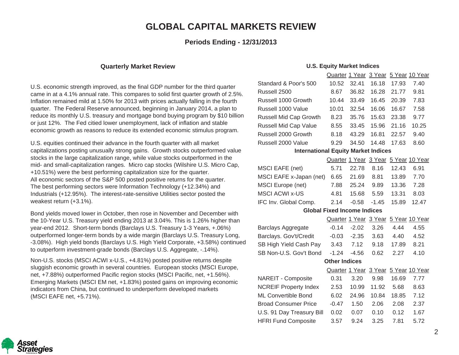### **GLOBAL CAPITAL MARKETS REVIE:**

#### **Periods Ending - 12/31/2013**

#### **Quarterly Market Review**

U.S. economic strength improved, as the final GDP number for the third quarter came in at a 4.1% annual rate. This compares to solid first quarter growth of 2.5%. Inflation remained mild at 1.50% for 2013 with prices actually falling in the fourth quarter. The Federal Reserve announced, beginning in January 2014, a plan to reduce its monthly U.S. treasury and mortgage bond buying program by \$10 billion or just 12%. The Fed citied lower unemployment, lack of inflation and stable economic growth as reasons to reduce its extended economic stimulus program.

U.S. equities continued their advance in the fourth quarter with all market capitalizations posting unusually strong gains. Growth stocks outperformed value stocks in the large capitalization range, while value stocks outperformed in the mid- and small-capitalization ranges. Micro cap stocks (Wilshire U.S. Micro Cap, +10.51%) were the best performing capitalization size for the quarter. All economic sectors of the S&P 500 posted positive returns for the quarter. The best performing sectors were Information Technology (+12.34%) and Industrials (+12.95%). The interest-rate-sensitive Utilities sector posted the weakest return (+3.1%).

Bond yields moved lower in October, then rose in November and December with the 10-Year U.S. Treasury yield ending 2013 at 3.04%. This is 1.26% higher than year-end 2012. Short-term bonds (Barclays U.S. Treasury 1-3 Years, +.06%) outperformed longer-term bonds by a wide margin (Barclays U.S. Treasury Long, -3.08%). High yield bonds (Barclays U.S. High Yield Corporate, +3.58%) continued to outperform investment-grade bonds (Barclays U.S. Aggregate, -.14%).

Non-U.S. stocks (MSCI ACWI x-U.S., +4.81%) posted positive returns despite sluggish economic growth in several countries. European stocks (MSCI Europe, net, +7.88%) outperformed Pacific region stocks (MSCI Pacific, net, +1.56%). Emerging Markets (MSCI EM net, +1.83%) posted gains on improving economic indicators from China, but continued to underperform developed markets (MSCI EAFE net, +5.71%).

#### **U.S. Equity Market Indices**

|                                            | Quarter 1 Year       |         | 3 Year  |       | 5 Year 10 Year                       |  |  |  |  |
|--------------------------------------------|----------------------|---------|---------|-------|--------------------------------------|--|--|--|--|
| Standard & Poor's 500                      | 10.52                | 32.41   | 16.18   | 17.93 | 7.40                                 |  |  |  |  |
| Russell 2500                               | 8.67                 | 36.82   | 16.28   | 21.77 | 9.81                                 |  |  |  |  |
| Russell 1000 Growth                        | 10.44                | 33.49   | 16.45   | 20.39 | 7.83                                 |  |  |  |  |
| Russell 1000 Value                         | 10.01                | 32.54   | 16.06   | 16.67 | 7.58                                 |  |  |  |  |
| <b>Russell Mid Cap Growth</b>              | 8.23                 | 35.76   | 15.63   | 23.38 | 9.77                                 |  |  |  |  |
| Russell Mid Cap Value                      | 8.55                 | 33.45   | 15.96   | 21.16 | 10.25                                |  |  |  |  |
| Russell 2000 Growth                        | 8.18                 | 43.29   | 16.81   | 22.57 | 9.40                                 |  |  |  |  |
| Russell 2000 Value                         | 9.29                 | 34.50   | 14.48   | 17.63 | 8.60                                 |  |  |  |  |
| <b>International Equity Market Indices</b> |                      |         |         |       |                                      |  |  |  |  |
|                                            |                      |         |         |       | Quarter 1 Year 3 Year 5 Year 10 Year |  |  |  |  |
| MSCI EAFE (net)                            | 5.71                 | 22.78   | 8.16    | 12.43 | 6.91                                 |  |  |  |  |
| MSCI EAFE x-Japan (net)                    | 6.65                 | 21.69   | 8.81    | 13.89 | 7.70                                 |  |  |  |  |
| <b>MSCI Europe (net)</b>                   | 7.88                 | 25.24   | 9.89    | 13.36 | 7.28                                 |  |  |  |  |
| <b>MSCI ACWI x-US</b>                      | 4.81                 | 15.68   | 5.59    | 13.31 | 8.03                                 |  |  |  |  |
| IFC Inv. Global Comp.                      | 2.14                 | $-0.58$ | $-1.45$ | 15.89 | 12.47                                |  |  |  |  |
| <b>Global Fixed Income Indices</b>         |                      |         |         |       |                                      |  |  |  |  |
|                                            |                      |         |         |       | Quarter 1 Year 3 Year 5 Year 10 Year |  |  |  |  |
| Barclays Aggregate                         | $-0.14$              | $-2.02$ | 3.26    | 4.44  | 4.55                                 |  |  |  |  |
| Barclays. Gov't/Credit                     | $-0.03$              | $-2.35$ | 3.63    | 4.40  | 4.52                                 |  |  |  |  |
| SB High Yield Cash Pay                     | 3.43                 | 7.12    | 9.18    | 17.89 | 8.21                                 |  |  |  |  |
| SB Non-U.S. Gov't Bond                     | $-1.24$              | $-4.56$ | 0.62    | 2.27  | 4.10                                 |  |  |  |  |
|                                            | <b>Other Indices</b> |         |         |       |                                      |  |  |  |  |
|                                            |                      |         |         |       | Quarter 1 Year 3 Year 5 Year 10 Year |  |  |  |  |
| <b>NAREIT - Composite</b>                  | 0.31                 | 3.20    | 9.98    | 16.69 | 7.77                                 |  |  |  |  |
| <b>NCREIF Property Index</b>               | 2.53                 | 10.99   | 11.92   | 5.68  | 8.63                                 |  |  |  |  |
| ML Convertible Bond                        | 6.02                 | 24.96   | 10.84   | 18.85 | 7.12                                 |  |  |  |  |
| <b>Broad Consumer Price</b>                | $-0.47$              | 1.50    | 2.06    | 2.08  | 2.37                                 |  |  |  |  |
| U.S. 91 Day Treasury Bill                  | 0.02                 | 0.07    | 0.10    | 0.12  | 1.67                                 |  |  |  |  |
| <b>HFRI Fund Composite</b>                 | 3.57                 | 9.24    | 3.25    | 7.81  | 5.72                                 |  |  |  |  |

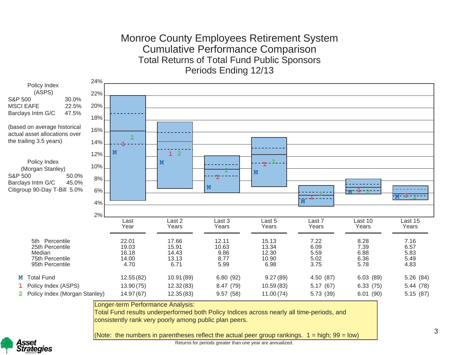### Monroe County Employees Retirement System Cumulative Performance Comparison Total Returns of Total Fund Public Sponsors Periods Ending 12/13





Returns for periods greater than one year are annualized.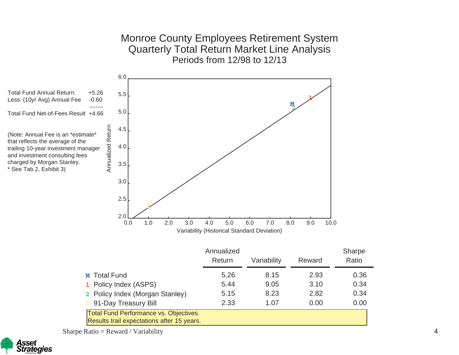Monroe County Employees Retirement System Quarterly Total Return Market Line Analysis Periods from 12/98 to 12/13



Sharpe Ratio = Reward / Variability

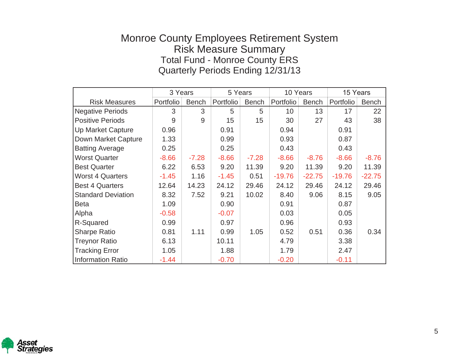# Monroe County Employees Retirement System Risk Measure Summary Total Fund - Monroe County ERS Quarterly Periods Ending 12/31/13

|                           | 3 Years   |              | 5 Years   |              | 10 Years  |              | 15 Years  |              |
|---------------------------|-----------|--------------|-----------|--------------|-----------|--------------|-----------|--------------|
| <b>Risk Measures</b>      | Portfolio | <b>Bench</b> | Portfolio | <b>Bench</b> | Portfolio | <b>Bench</b> | Portfolio | <b>Bench</b> |
| <b>Negative Periods</b>   | 3         | 3            | 5         | 5            | 10        | 13           | 17        | 22           |
| <b>Positive Periods</b>   | 9         | 9            | 15        | 15           | 30        | 27           | 43        | 38           |
| <b>Up Market Capture</b>  | 0.96      |              | 0.91      |              | 0.94      |              | 0.91      |              |
| Down Market Capture       | 1.33      |              | 0.99      |              | 0.93      |              | 0.87      |              |
| <b>Batting Average</b>    | 0.25      |              | 0.25      |              | 0.43      |              | 0.43      |              |
| <b>Worst Quarter</b>      | $-8.66$   | $-7.28$      | $-8.66$   | $-7.28$      | $-8.66$   | $-8.76$      | $-8.66$   | $-8.76$      |
| <b>Best Quarter</b>       | 6.22      | 6.53         | 9.20      | 11.39        | 9.20      | 11.39        | 9.20      | 11.39        |
| <b>Worst 4 Quarters</b>   | $-1.45$   | 1.16         | $-1.45$   | 0.51         | $-19.76$  | $-22.75$     | $-19.76$  | $-22.75$     |
| <b>Best 4 Quarters</b>    | 12.64     | 14.23        | 24.12     | 29.46        | 24.12     | 29.46        | 24.12     | 29.46        |
| <b>Standard Deviation</b> | 8.32      | 7.52         | 9.21      | 10.02        | 8.40      | 9.06         | 8.15      | 9.05         |
| <b>Beta</b>               | 1.09      |              | 0.90      |              | 0.91      |              | 0.87      |              |
| Alpha                     | $-0.58$   |              | $-0.07$   |              | 0.03      |              | 0.05      |              |
| R-Squared                 | 0.99      |              | 0.97      |              | 0.96      |              | 0.93      |              |
| <b>Sharpe Ratio</b>       | 0.81      | 1.11         | 0.99      | 1.05         | 0.52      | 0.51         | 0.36      | 0.34         |
| <b>Treynor Ratio</b>      | 6.13      |              | 10.11     |              | 4.79      |              | 3.38      |              |
| <b>Tracking Error</b>     | 1.05      |              | 1.88      |              | 1.79      |              | 2.47      |              |
| <b>Information Ratio</b>  | $-1.44$   |              | $-0.70$   |              | $-0.20$   |              | $-0.11$   |              |

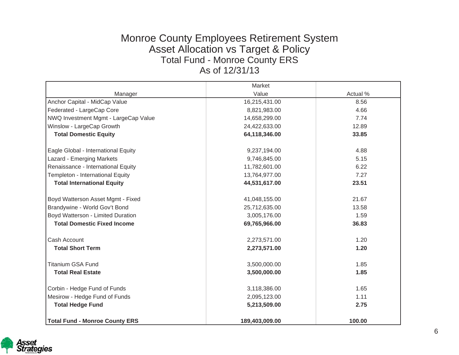### Monroe County Employees Retirement System Asset Allocation vs Target & Policy Total Fund - Monroe County ERS As of 12/31/13

|                                       | Market         |          |
|---------------------------------------|----------------|----------|
| Manager                               | Value          | Actual % |
| Anchor Capital - MidCap Value         | 16,215,431.00  | 8.56     |
| Federated - LargeCap Core             | 8,821,983.00   | 4.66     |
| NWQ Investment Mgmt - LargeCap Value  | 14,658,299.00  | 7.74     |
| Winslow - LargeCap Growth             | 24,422,633.00  | 12.89    |
| <b>Total Domestic Equity</b>          | 64,118,346.00  | 33.85    |
|                                       |                |          |
| Eagle Global - International Equity   | 9,237,194.00   | 4.88     |
| Lazard - Emerging Markets             | 9,746,845.00   | 5.15     |
| Renaissance - International Equity    | 11,782,601.00  | 6.22     |
| Templeton - International Equity      | 13,764,977.00  | 7.27     |
| <b>Total International Equity</b>     | 44,531,617.00  | 23.51    |
|                                       |                |          |
| Boyd Watterson Asset Mgmt - Fixed     | 41,048,155.00  | 21.67    |
| Brandywine - World Gov't Bond         | 25,712,635.00  | 13.58    |
| Boyd Watterson - Limited Duration     | 3,005,176.00   | 1.59     |
| <b>Total Domestic Fixed Income</b>    | 69,765,966.00  | 36.83    |
|                                       |                |          |
| Cash Account                          | 2,273,571.00   | 1.20     |
| <b>Total Short Term</b>               | 2,273,571.00   | 1.20     |
| <b>Titanium GSA Fund</b>              | 3,500,000.00   | 1.85     |
| <b>Total Real Estate</b>              | 3,500,000.00   | 1.85     |
|                                       |                |          |
| Corbin - Hedge Fund of Funds          | 3,118,386.00   | 1.65     |
| Mesirow - Hedge Fund of Funds         | 2,095,123.00   | 1.11     |
| <b>Total Hedge Fund</b>               | 5,213,509.00   | 2.75     |
| <b>Total Fund - Monroe County ERS</b> | 189,403,009.00 | 100.00   |

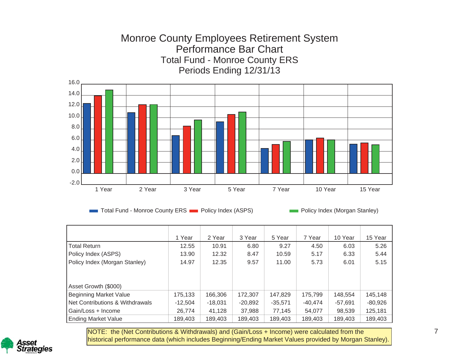# Monroe County Employees Retirement System Performance Bar Chart Total Fund - Monroe County ERS Periods Ending 12/31/13



Total Fund - Monroe County ERS Policy Index (ASPS) Policy Index (Morgan Stanley)

|                                 | 1 Year    | 2 Year    | 3 Year    | 5 Year    | 7 Year    | 10 Year   | 15 Year   |
|---------------------------------|-----------|-----------|-----------|-----------|-----------|-----------|-----------|
| Total Return                    | 12.55     | 10.91     | 6.80      | 9.27      | 4.50      | 6.03      | 5.26      |
| Policy Index (ASPS)             | 13.90     | 12.32     | 8.47      | 10.59     | 5.17      | 6.33      | 5.44      |
| Policy Index (Morgan Stanley)   | 14.97     | 12.35     | 9.57      | 11.00     | 5.73      | 6.01      | 5.15      |
|                                 |           |           |           |           |           |           |           |
|                                 |           |           |           |           |           |           |           |
| Asset Growth (\$000)            |           |           |           |           |           |           |           |
| Beginning Market Value          | 175,133   | 166,306   | 172,307   | 147,829   | 175,799   | 148,554   | 145,148   |
| Net Contributions & Withdrawals | $-12.504$ | $-18.031$ | $-20,892$ | $-35,571$ | $-40.474$ | $-57.691$ | $-80,926$ |
| Gain/Loss + Income              | 26.774    | 41.128    | 37,988    | 77.145    | 54.077    | 98,539    | 125,181   |
| <b>Ending Market Value</b>      | 189,403   | 189,403   | 189,403   | 189,403   | 189,403   | 189,403   | 189,403   |

NOTE: the (Net Contributions & Withdrawals) and (Gain/Loss <sup>+</sup> Income) were calculated from the historical performance data (which includes Beginning/Ending Market Values provided by Morgan Stanley).

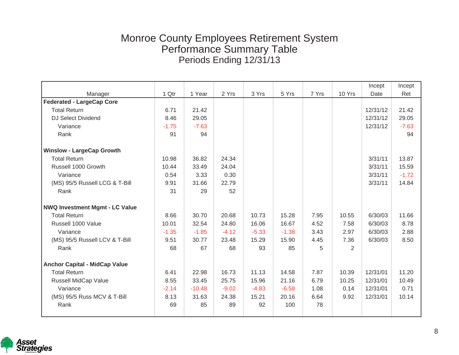|                                       |         |          |         |         |         |       |                | Incept   | Incept  |
|---------------------------------------|---------|----------|---------|---------|---------|-------|----------------|----------|---------|
| Manager                               | 1 Qtr   | 1 Year   | 2 Yrs   | 3 Yrs   | 5 Yrs   | 7 Yrs | 10 Yrs         | Date     | Ret     |
| <b>Federated - LargeCap Core</b>      |         |          |         |         |         |       |                |          |         |
| <b>Total Return</b>                   | 6.71    | 21.42    |         |         |         |       |                | 12/31/12 | 21.42   |
| <b>DJ Select Dividend</b>             | 8.46    | 29.05    |         |         |         |       |                | 12/31/12 | 29.05   |
| Variance                              | $-1.75$ | $-7.63$  |         |         |         |       |                | 12/31/12 | $-7.63$ |
| Rank                                  | 91      | 94       |         |         |         |       |                |          | 94      |
| <b>Winslow - LargeCap Growth</b>      |         |          |         |         |         |       |                |          |         |
| <b>Total Return</b>                   | 10.98   | 36.82    | 24.34   |         |         |       |                | 3/31/11  | 13.87   |
| Russell 1000 Growth                   | 10.44   | 33.49    | 24.04   |         |         |       |                | 3/31/11  | 15.59   |
| Variance                              | 0.54    | 3.33     | 0.30    |         |         |       |                | 3/31/11  | $-1.72$ |
| (MS) 95/5 Russell LCG & T-Bill        | 9.91    | 31.66    | 22.79   |         |         |       |                | 3/31/11  | 14.84   |
| Rank                                  | 31      | 29       | 52      |         |         |       |                |          |         |
| <b>NWQ Investment Mgmt - LC Value</b> |         |          |         |         |         |       |                |          |         |
| <b>Total Return</b>                   | 8.66    | 30.70    | 20.68   | 10.73   | 15.28   | 7.95  | 10.55          | 6/30/03  | 11.66   |
| Russell 1000 Value                    | 10.01   | 32.54    | 24.80   | 16.06   | 16.67   | 4.52  | 7.58           | 6/30/03  | 8.78    |
| Variance                              | $-1.35$ | $-1.85$  | $-4.12$ | $-5.33$ | $-1.38$ | 3.43  | 2.97           | 6/30/03  | 2.88    |
| (MS) 95/5 Russell LCV & T-Bill        | 9.51    | 30.77    | 23.48   | 15.29   | 15.90   | 4.45  | 7.36           | 6/30/03  | 8.50    |
| Rank                                  | 68      | 67       | 68      | 93      | 85      | 5     | $\overline{2}$ |          |         |
| <b>Anchor Capital - MidCap Value</b>  |         |          |         |         |         |       |                |          |         |
| <b>Total Return</b>                   | 6.41    | 22.98    | 16.73   | 11.13   | 14.58   | 7.87  | 10.39          | 12/31/01 | 11.20   |
| Russell MidCap Value                  | 8.55    | 33.45    | 25.75   | 15.96   | 21.16   | 6.79  | 10.25          | 12/31/01 | 10.49   |
| Variance                              | $-2.14$ | $-10.48$ | $-9.02$ | $-4.83$ | $-6.58$ | 1.08  | 0.14           | 12/31/01 | 0.71    |
| (MS) 95/5 Russ MCV & T-Bill           | 8.13    | 31.63    | 24.38   | 15.21   | 20.16   | 6.64  | 9.92           | 12/31/01 | 10.14   |
| Rank                                  | 69      | 85       | 89      | 92      | 100     | 78    |                |          |         |

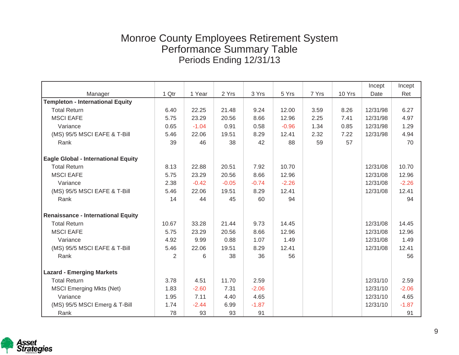|                                            |       |         |         |         |         |       |        | Incept   | Incept  |
|--------------------------------------------|-------|---------|---------|---------|---------|-------|--------|----------|---------|
| Manager                                    | 1 Qtr | 1 Year  | 2 Yrs   | 3 Yrs   | 5 Yrs   | 7 Yrs | 10 Yrs | Date     | Ret     |
| <b>Templeton - International Equity</b>    |       |         |         |         |         |       |        |          |         |
| <b>Total Return</b>                        | 6.40  | 22.25   | 21.48   | 9.24    | 12.00   | 3.59  | 8.26   | 12/31/98 | 6.27    |
| <b>MSCI EAFE</b>                           | 5.75  | 23.29   | 20.56   | 8.66    | 12.96   | 2.25  | 7.41   | 12/31/98 | 4.97    |
| Variance                                   | 0.65  | $-1.04$ | 0.91    | 0.58    | $-0.96$ | 1.34  | 0.85   | 12/31/98 | 1.29    |
| (MS) 95/5 MSCI EAFE & T-Bill               | 5.46  | 22.06   | 19.51   | 8.29    | 12.41   | 2.32  | 7.22   | 12/31/98 | 4.94    |
| Rank                                       | 39    | 46      | 38      | 42      | 88      | 59    | 57     |          | 70      |
| <b>Eagle Global - International Equity</b> |       |         |         |         |         |       |        |          |         |
| <b>Total Return</b>                        | 8.13  | 22.88   | 20.51   | 7.92    | 10.70   |       |        | 12/31/08 | 10.70   |
| <b>MSCI EAFE</b>                           | 5.75  | 23.29   | 20.56   | 8.66    | 12.96   |       |        | 12/31/08 | 12.96   |
| Variance                                   | 2.38  | $-0.42$ | $-0.05$ | $-0.74$ | $-2.26$ |       |        | 12/31/08 | $-2.26$ |
| (MS) 95/5 MSCI EAFE & T-Bill               | 5.46  | 22.06   | 19.51   | 8.29    | 12.41   |       |        | 12/31/08 | 12.41   |
| Rank                                       | 14    | 44      | 45      | 60      | 94      |       |        |          | 94      |
| <b>Renaissance - International Equity</b>  |       |         |         |         |         |       |        |          |         |
| <b>Total Return</b>                        | 10.67 | 33.28   | 21.44   | 9.73    | 14.45   |       |        | 12/31/08 | 14.45   |
| <b>MSCI EAFE</b>                           | 5.75  | 23.29   | 20.56   | 8.66    | 12.96   |       |        | 12/31/08 | 12.96   |
| Variance                                   | 4.92  | 9.99    | 0.88    | 1.07    | 1.49    |       |        | 12/31/08 | 1.49    |
| (MS) 95/5 MSCI EAFE & T-Bill               | 5.46  | 22.06   | 19.51   | 8.29    | 12.41   |       |        | 12/31/08 | 12.41   |
| Rank                                       | 2     | 6       | 38      | 36      | 56      |       |        |          | 56      |
| <b>Lazard - Emerging Markets</b>           |       |         |         |         |         |       |        |          |         |
| <b>Total Return</b>                        | 3.78  | 4.51    | 11.70   | 2.59    |         |       |        | 12/31/10 | 2.59    |
| <b>MSCI Emerging Mkts (Net)</b>            | 1.83  | $-2.60$ | 7.31    | $-2.06$ |         |       |        | 12/31/10 | $-2.06$ |
| Variance                                   | 1.95  | 7.11    | 4.40    | 4.65    |         |       |        | 12/31/10 | 4.65    |
| (MS) 95/5 MSCI Emerg & T-Bill              | 1.74  | $-2.44$ | 6.99    | $-1.87$ |         |       |        | 12/31/10 | $-1.87$ |
| Rank                                       | 78    | 93      | 93      | 91      |         |       |        |          | 91      |

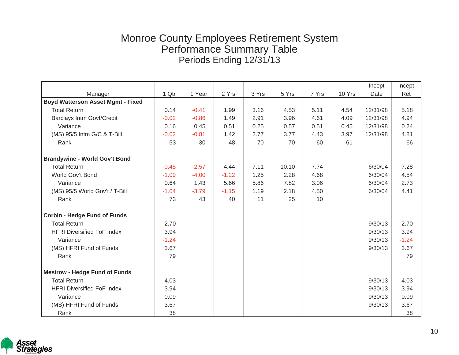|                                          |         |         |         |       |       |       |        | Incept   | Incept  |
|------------------------------------------|---------|---------|---------|-------|-------|-------|--------|----------|---------|
| Manager                                  | 1 Qtr   | 1 Year  | 2 Yrs   | 3 Yrs | 5 Yrs | 7 Yrs | 10 Yrs | Date     | Ret     |
| <b>Boyd Watterson Asset Mgmt - Fixed</b> |         |         |         |       |       |       |        |          |         |
| <b>Total Return</b>                      | 0.14    | $-0.41$ | 1.99    | 3.16  | 4.53  | 5.11  | 4.54   | 12/31/98 | 5.18    |
| <b>Barclays Intm Govt/Credit</b>         | $-0.02$ | $-0.86$ | 1.49    | 2.91  | 3.96  | 4.61  | 4.09   | 12/31/98 | 4.94    |
| Variance                                 | 0.16    | 0.45    | 0.51    | 0.25  | 0.57  | 0.51  | 0.45   | 12/31/98 | 0.24    |
| (MS) 95/5 Intm G/C & T-Bill              | $-0.02$ | $-0.81$ | 1.42    | 2.77  | 3.77  | 4.43  | 3.97   | 12/31/98 | 4.81    |
| Rank                                     | 53      | 30      | 48      | 70    | 70    | 60    | 61     |          | 66      |
| <b>Brandywine - World Gov't Bond</b>     |         |         |         |       |       |       |        |          |         |
| <b>Total Return</b>                      | $-0.45$ | $-2.57$ | 4.44    | 7.11  | 10.10 | 7.74  |        | 6/30/04  | 7.28    |
| World Gov't Bond                         | $-1.09$ | $-4.00$ | $-1.22$ | 1.25  | 2.28  | 4.68  |        | 6/30/04  | 4.54    |
| Variance                                 | 0.64    | 1.43    | 5.66    | 5.86  | 7.82  | 3.06  |        | 6/30/04  | 2.73    |
| (MS) 95/5 World Gov't / T-Bill           | $-1.04$ | $-3.79$ | $-1.15$ | 1.19  | 2.18  | 4.50  |        | 6/30/04  | 4.41    |
| Rank                                     | 73      | 43      | 40      | 11    | 25    | 10    |        |          |         |
| <b>Corbin - Hedge Fund of Funds</b>      |         |         |         |       |       |       |        |          |         |
| <b>Total Return</b>                      | 2.70    |         |         |       |       |       |        | 9/30/13  | 2.70    |
| <b>HFRI Diversified FoF Index</b>        | 3.94    |         |         |       |       |       |        | 9/30/13  | 3.94    |
| Variance                                 | $-1.24$ |         |         |       |       |       |        | 9/30/13  | $-1.24$ |
| (MS) HFRI Fund of Funds                  | 3.67    |         |         |       |       |       |        | 9/30/13  | 3.67    |
| Rank                                     | 79      |         |         |       |       |       |        |          | 79      |
| <b>Mesirow - Hedge Fund of Funds</b>     |         |         |         |       |       |       |        |          |         |
| <b>Total Return</b>                      | 4.03    |         |         |       |       |       |        | 9/30/13  | 4.03    |
| <b>HFRI Diversified FoF Index</b>        | 3.94    |         |         |       |       |       |        | 9/30/13  | 3.94    |
| Variance                                 | 0.09    |         |         |       |       |       |        | 9/30/13  | 0.09    |
| (MS) HFRI Fund of Funds                  | 3.67    |         |         |       |       |       |        | 9/30/13  | 3.67    |
| Rank                                     | 38      |         |         |       |       |       |        |          | 38      |

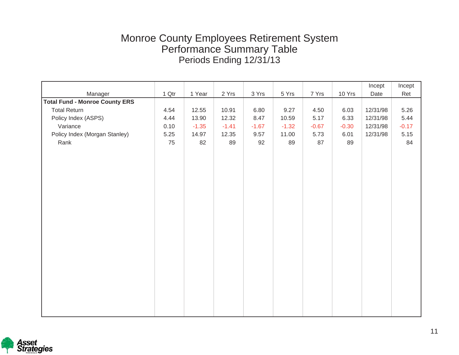|                                       |       |         |         |         |         |         |         | Incept   | Incept  |
|---------------------------------------|-------|---------|---------|---------|---------|---------|---------|----------|---------|
| Manager                               | 1 Qtr | 1 Year  | 2 Yrs   | 3 Yrs   | 5 Yrs   | 7 Yrs   | 10 Yrs  | Date     | Ret     |
| <b>Total Fund - Monroe County ERS</b> |       |         |         |         |         |         |         |          |         |
| <b>Total Return</b>                   | 4.54  | 12.55   | 10.91   | 6.80    | 9.27    | 4.50    | 6.03    | 12/31/98 | 5.26    |
| Policy Index (ASPS)                   | 4.44  | 13.90   | 12.32   | 8.47    | 10.59   | 5.17    | 6.33    | 12/31/98 | 5.44    |
| Variance                              | 0.10  | $-1.35$ | $-1.41$ | $-1.67$ | $-1.32$ | $-0.67$ | $-0.30$ | 12/31/98 | $-0.17$ |
| Policy Index (Morgan Stanley)         | 5.25  | 14.97   | 12.35   | 9.57    | 11.00   | 5.73    | 6.01    | 12/31/98 | 5.15    |
| Rank                                  | 75    | 82      | 89      | 92      | 89      | 87      | 89      |          | 84      |
|                                       |       |         |         |         |         |         |         |          |         |
|                                       |       |         |         |         |         |         |         |          |         |
|                                       |       |         |         |         |         |         |         |          |         |
|                                       |       |         |         |         |         |         |         |          |         |
|                                       |       |         |         |         |         |         |         |          |         |
|                                       |       |         |         |         |         |         |         |          |         |
|                                       |       |         |         |         |         |         |         |          |         |
|                                       |       |         |         |         |         |         |         |          |         |
|                                       |       |         |         |         |         |         |         |          |         |
|                                       |       |         |         |         |         |         |         |          |         |
|                                       |       |         |         |         |         |         |         |          |         |
|                                       |       |         |         |         |         |         |         |          |         |
|                                       |       |         |         |         |         |         |         |          |         |
|                                       |       |         |         |         |         |         |         |          |         |
|                                       |       |         |         |         |         |         |         |          |         |
|                                       |       |         |         |         |         |         |         |          |         |
|                                       |       |         |         |         |         |         |         |          |         |
|                                       |       |         |         |         |         |         |         |          |         |
|                                       |       |         |         |         |         |         |         |          |         |
|                                       |       |         |         |         |         |         |         |          |         |
|                                       |       |         |         |         |         |         |         |          |         |

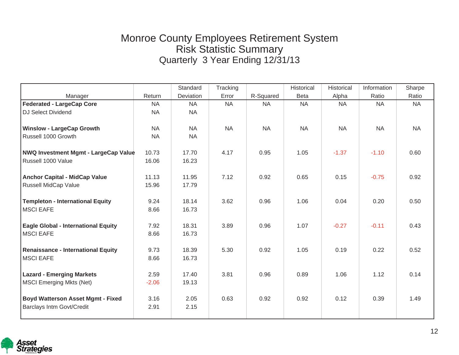# Monroe County Employees Retirement System Risk Statistic Summary Quarterly 3 Year Ending 12/31/13

|                                             |           | Standard  | Tracking  |           | Historical  | Historical | Information | Sharpe    |
|---------------------------------------------|-----------|-----------|-----------|-----------|-------------|------------|-------------|-----------|
| Manager                                     | Return    | Deviation | Error     | R-Squared | <b>Beta</b> | Alpha      | Ratio       | Ratio     |
| <b>Federated - LargeCap Core</b>            | <b>NA</b> | <b>NA</b> | <b>NA</b> | <b>NA</b> | <b>NA</b>   | <b>NA</b>  | <b>NA</b>   | <b>NA</b> |
| <b>DJ Select Dividend</b>                   | <b>NA</b> | <b>NA</b> |           |           |             |            |             |           |
|                                             |           |           |           |           |             |            |             |           |
| <b>Winslow - LargeCap Growth</b>            | <b>NA</b> | <b>NA</b> | <b>NA</b> | <b>NA</b> | <b>NA</b>   | <b>NA</b>  | <b>NA</b>   | <b>NA</b> |
| Russell 1000 Growth                         | <b>NA</b> | <b>NA</b> |           |           |             |            |             |           |
|                                             |           |           |           |           |             |            |             |           |
| <b>NWQ Investment Mgmt - LargeCap Value</b> | 10.73     | 17.70     | 4.17      | 0.95      | 1.05        | $-1.37$    | $-1.10$     | 0.60      |
| Russell 1000 Value                          | 16.06     | 16.23     |           |           |             |            |             |           |
|                                             |           |           |           |           |             |            |             |           |
| <b>Anchor Capital - MidCap Value</b>        | 11.13     | 11.95     | 7.12      | 0.92      | 0.65        | 0.15       | $-0.75$     | 0.92      |
| Russell MidCap Value                        | 15.96     | 17.79     |           |           |             |            |             |           |
|                                             |           |           |           |           |             |            |             |           |
| <b>Templeton - International Equity</b>     | 9.24      | 18.14     | 3.62      | 0.96      | 1.06        | 0.04       | 0.20        | 0.50      |
| <b>MSCI EAFE</b>                            | 8.66      | 16.73     |           |           |             |            |             |           |
| <b>Eagle Global - International Equity</b>  | 7.92      | 18.31     | 3.89      | 0.96      | 1.07        | $-0.27$    | $-0.11$     | 0.43      |
| <b>MSCI EAFE</b>                            | 8.66      | 16.73     |           |           |             |            |             |           |
|                                             |           |           |           |           |             |            |             |           |
| <b>Renaissance - International Equity</b>   | 9.73      | 18.39     | 5.30      | 0.92      | 1.05        | 0.19       | 0.22        | 0.52      |
| <b>MSCI EAFE</b>                            | 8.66      | 16.73     |           |           |             |            |             |           |
|                                             |           |           |           |           |             |            |             |           |
| <b>Lazard - Emerging Markets</b>            | 2.59      | 17.40     | 3.81      | 0.96      | 0.89        | 1.06       | 1.12        | 0.14      |
| <b>MSCI Emerging Mkts (Net)</b>             | $-2.06$   | 19.13     |           |           |             |            |             |           |
|                                             |           |           |           |           |             |            |             |           |
| <b>Boyd Watterson Asset Mgmt - Fixed</b>    | 3.16      | 2.05      | 0.63      | 0.92      | 0.92        | 0.12       | 0.39        | 1.49      |
| <b>Barclays Intm Govt/Credit</b>            | 2.91      | 2.15      |           |           |             |            |             |           |
|                                             |           |           |           |           |             |            |             |           |

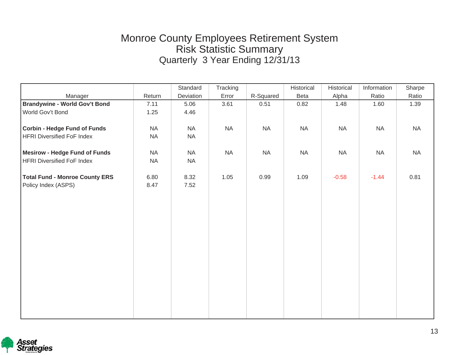# Monroe County Employees Retirement System Risk Statistic Summary Quarterly 3 Year Ending 12/31/13

|                                       |           | Standard  | Tracking |           | Historical | Historical | Information | Sharpe    |
|---------------------------------------|-----------|-----------|----------|-----------|------------|------------|-------------|-----------|
| Manager                               | Return    | Deviation | Error    | R-Squared | Beta       | Alpha      | Ratio       | Ratio     |
| <b>Brandywine - World Gov't Bond</b>  | 7.11      | 5.06      | 3.61     | 0.51      | 0.82       | 1.48       | 1.60        | 1.39      |
| World Gov't Bond                      | 1.25      | 4.46      |          |           |            |            |             |           |
|                                       |           |           |          |           |            |            |             |           |
| <b>Corbin - Hedge Fund of Funds</b>   | <b>NA</b> | <b>NA</b> | NA       | <b>NA</b> | <b>NA</b>  | <b>NA</b>  | <b>NA</b>   | <b>NA</b> |
| <b>HFRI Diversified FoF Index</b>     | <b>NA</b> | <b>NA</b> |          |           |            |            |             |           |
|                                       |           |           |          |           |            |            |             |           |
| <b>Mesirow - Hedge Fund of Funds</b>  | <b>NA</b> | NA        | $\sf NA$ | NA        | <b>NA</b>  | <b>NA</b>  | <b>NA</b>   | <b>NA</b> |
| <b>HFRI Diversified FoF Index</b>     | <b>NA</b> | NA        |          |           |            |            |             |           |
|                                       |           |           |          |           |            |            |             |           |
| <b>Total Fund - Monroe County ERS</b> | 6.80      | 8.32      | 1.05     | 0.99      | 1.09       | $-0.58$    | $-1.44$     | 0.81      |
| Policy Index (ASPS)                   | 8.47      | 7.52      |          |           |            |            |             |           |
|                                       |           |           |          |           |            |            |             |           |
|                                       |           |           |          |           |            |            |             |           |
|                                       |           |           |          |           |            |            |             |           |
|                                       |           |           |          |           |            |            |             |           |
|                                       |           |           |          |           |            |            |             |           |
|                                       |           |           |          |           |            |            |             |           |
|                                       |           |           |          |           |            |            |             |           |
|                                       |           |           |          |           |            |            |             |           |
|                                       |           |           |          |           |            |            |             |           |
|                                       |           |           |          |           |            |            |             |           |
|                                       |           |           |          |           |            |            |             |           |
|                                       |           |           |          |           |            |            |             |           |
|                                       |           |           |          |           |            |            |             |           |
|                                       |           |           |          |           |            |            |             |           |
|                                       |           |           |          |           |            |            |             |           |

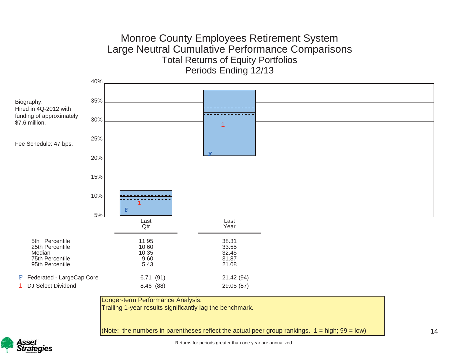### Monroe County Employees Retirement System Large Neutral Cumulative Performance Comparisons Total Returns of Equity Portfolios Periods Ending 12/13



(Note: the numbers in parentheses reflect the actual peer group rankings.  $1 =$  high;  $99 =$  low)





Returns for periods greater than one year are annualized.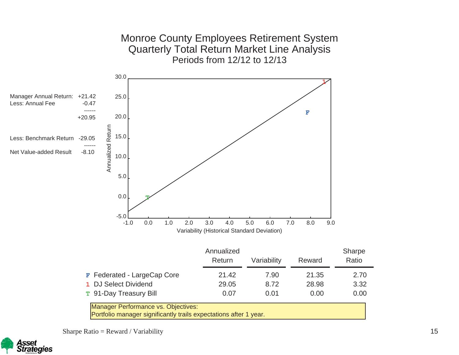

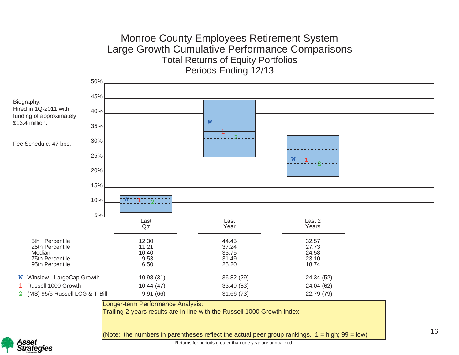### Monroe County Employees Retirement System Large Growth Cumulative Performance Comparisons Total Returns of Equity Portfolios Periods Ending 12/13





Returns for periods greater than one year are annualized.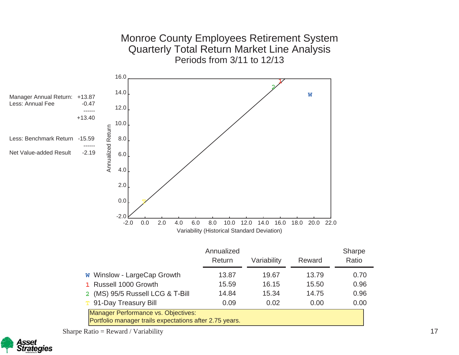

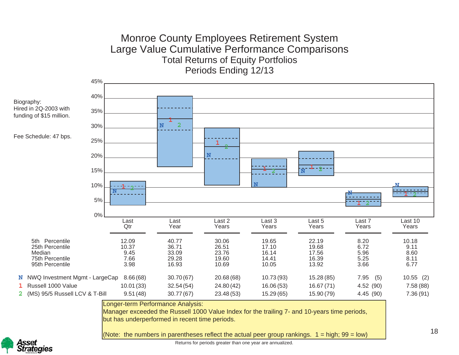# Monroe County Employees Retirement System Large Value Cumulative Performance Comparisons Total Returns of Equity Portfolios Periods Ending 12/13

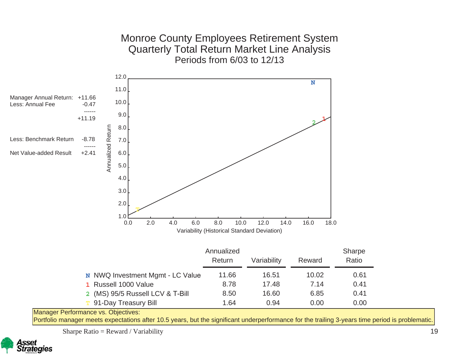Monroe County Employees Retirement System Quarterly Total Return Market Line Analysis Periods from 6/03 to 12/13



Portfolio manager meets expectations after 10.5 years, but the significant underperformance for the trailing 3-years time period is problematic.

Sharpe Ratio = Reward / Variability

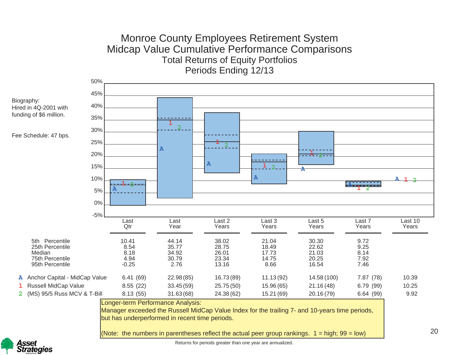# Monroe County Employees Retirement System Midcap Value Cumulative Performance Comparisons Total Returns of Equity Portfolios Periods Ending 12/13

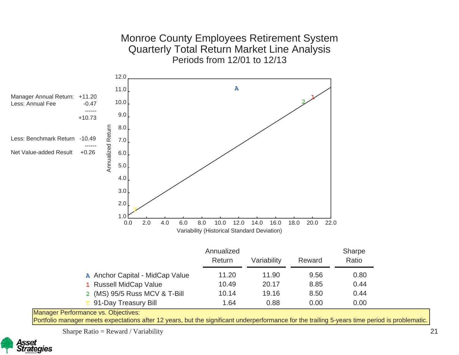

Portfolio manager meets expectations after 12 years, but the significant underperformance for the trailing 5-years time period is problematic.

Sharpe Ratio = Reward / Variability

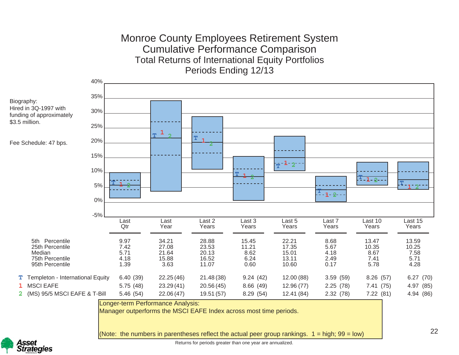### Monroe County Employees Retirement System Cumulative Performance Comparison Total Returns of International Equity Portfolios Periods Ending 12/13



Manager outperforms the MSCI EAFE Index across most time periods.

(Note: the numbers in parentheses reflect the actual peer group rankings.  $1 =$  high;  $99 =$  low)

22

![](_page_35_Picture_5.jpeg)

Returns for periods greater than one year are annualized.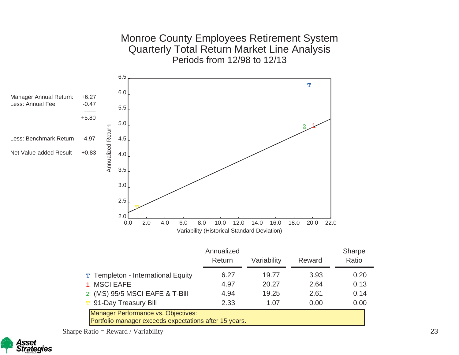Monroe County Employees Retirement System Quarterly Total Return Market Line Analysis Periods from 12/98 to 12/13

![](_page_36_Figure_1.jpeg)

Sharpe Ratio = Reward / Variability

![](_page_36_Picture_3.jpeg)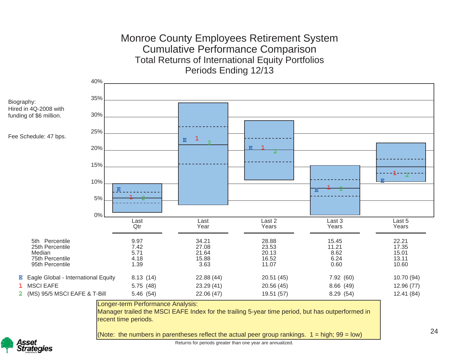### Monroe County Employees Retirement System Cumulative Performance Comparison Total Returns of International Equity Portfolios Periods Ending 12/13

![](_page_37_Figure_1.jpeg)

sset **Strategies** 

Returns for periods greater than one year are annualized.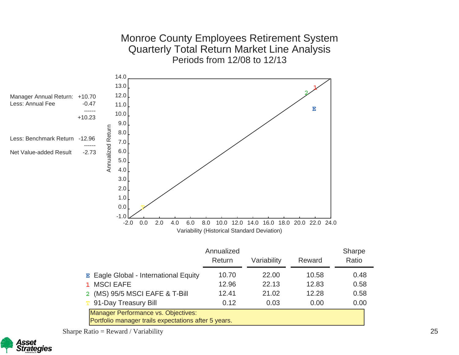![](_page_38_Figure_0.jpeg)

Sharpe Ratio = Reward / Variability

![](_page_38_Picture_2.jpeg)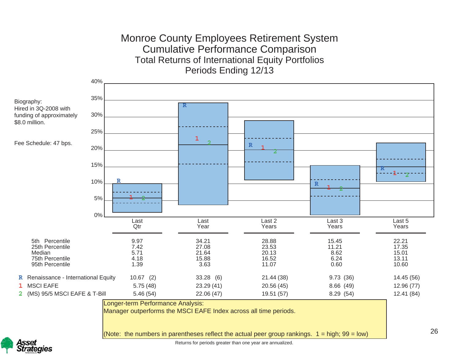### Monroe County Employees Retirement System Cumulative Performance Comparison Total Returns of International Equity Portfolios Periods Ending 12/13

![](_page_39_Figure_1.jpeg)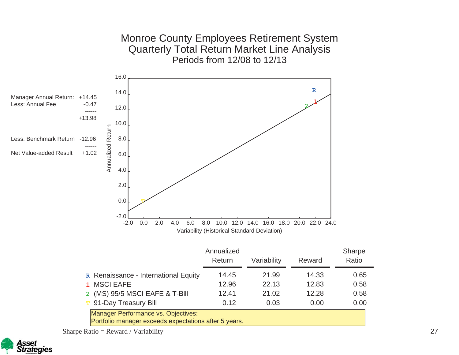Monroe County Employees Retirement System Quarterly Total Return Market Line Analysis Periods from 12/08 to 12/13

![](_page_40_Figure_1.jpeg)

![](_page_40_Picture_2.jpeg)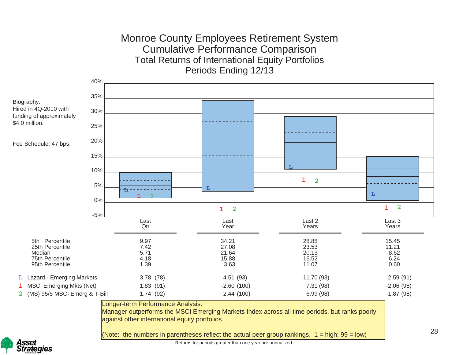### Monroe County Employees Retirement System Cumulative Performance Comparison Total Returns of International Equity Portfolios Periods Ending 12/13

![](_page_41_Figure_1.jpeg)

Manager outperforms the MSCI Emerging Markets Index across all time periods, but ranks poorly against other international equity portfolios.

(Note: the numbers in parentheses reflect the actual peer group rankings.  $1 =$  high;  $99 =$  low)

28

![](_page_41_Picture_5.jpeg)

Returns for periods greater than one year are annualized.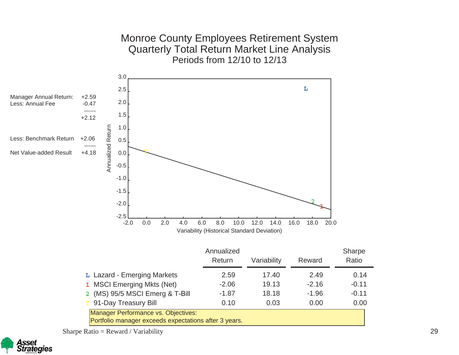Monroe County Employees Retirement System Quarterly Total Return Market Line Analysis Periods from 12/10 to 12/13

![](_page_42_Figure_1.jpeg)

Sharpe Ratio = Reward / Variability

![](_page_42_Picture_3.jpeg)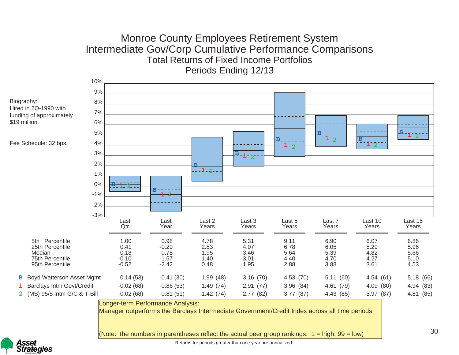### Monroe County Employees Retirement System Intermediate Gov/Corp Cumulative Performance Comparisons Total Returns of Fixed Income PortfoliosPeriods Ending 12/13

![](_page_43_Figure_1.jpeg)

(Note: the numbers in parentheses reflect the actual peer group rankings.  $1 =$  high;  $99 =$  low)

30

Isset **Strategies** 

Returns for periods greater than one year are annualized.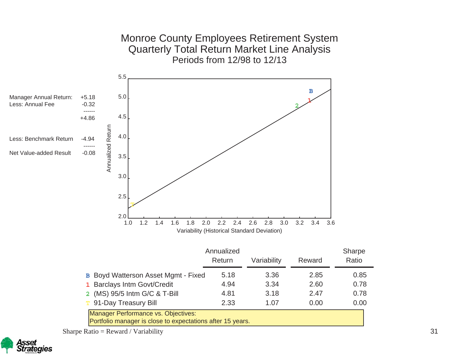![](_page_44_Figure_0.jpeg)

![](_page_44_Picture_1.jpeg)

![](_page_44_Picture_2.jpeg)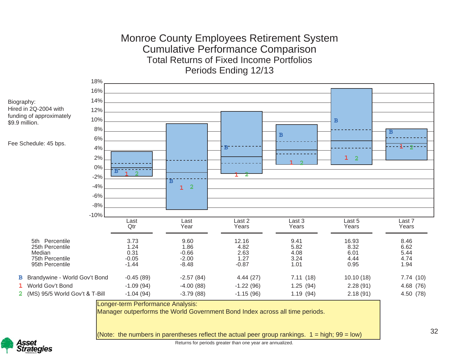### Monroe County Employees Retirement System Cumulative Performance Comparison Total Returns of Fixed Income PortfoliosPeriods Ending 12/13

![](_page_45_Figure_1.jpeg)

Hired in 2Q-2004 with funding of approximately \$9.9 million.

Fee Schedule: 45 bps.

![](_page_45_Picture_4.jpeg)

Returns for periods greater than one year are annualized. (Note: the numbers in parentheses reflect the actual peer group rankings.  $1 =$  high;  $99 =$  low)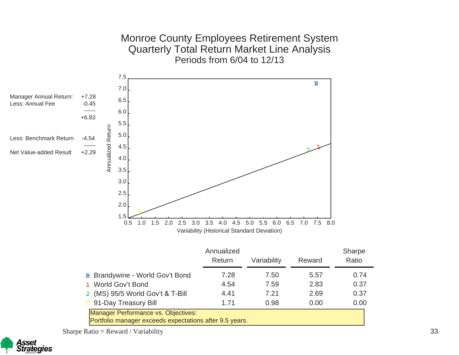#### Monroe County Employees Retirement System Quarterly Total Return Market Line Analysis Periods from 6/04 to 12/13

![](_page_46_Figure_1.jpeg)

Sharpe Ratio =  $R$ eward / Variability

![](_page_46_Picture_3.jpeg)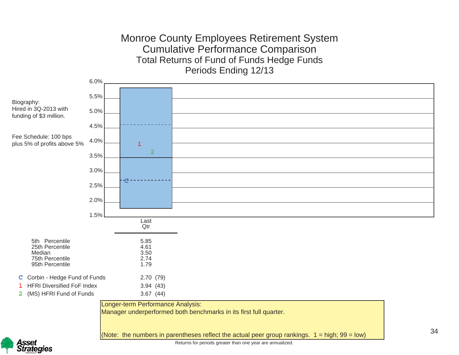### Monroe County Employees Retirement System Cumulative Performance Comparison Total Returns of Fund of Funds Hedge Funds Periods Ending 12/13

![](_page_47_Figure_1.jpeg)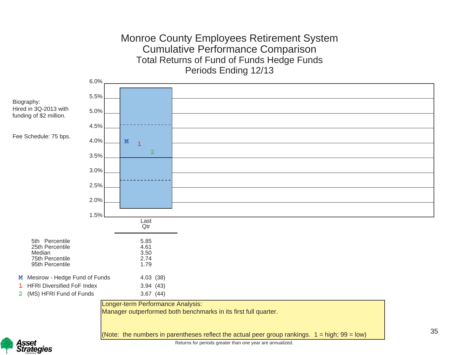### Monroe County Employees Retirement System Cumulative Performance Comparison Total Returns of Fund of Funds Hedge Funds Periods Ending 12/13

![](_page_48_Figure_1.jpeg)

sset **Strategies**  Returns for periods greater than one year are annualized.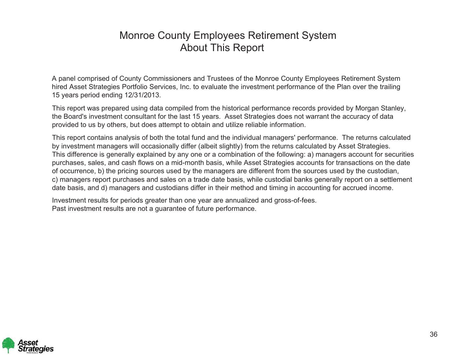# Monroe County Employees Retirement System About This Report

A panel comprised of County Commissioners and Trustees of the Monroe County Employees Retirement System hired Asset Strategies Portfolio Services, Inc. to evaluate the investment performance of the Plan over the trailing 15 years period ending 12/31/2013.

This report was prepared using data compiled from the historical performance records provided by Morgan Stanley, the Board's investment consultant for the last 15 years. Asset Strategies does not warrant the accuracy of data provided to us by others, but does attempt to obtain and utilize reliable information.

This report contains analysis of both the total fund and the individual managers' performance. The returns calculated by investment managers will occasionally differ (albeit slightly) from the returns calculated by Asset Strategies. This difference is generally explained by any one or a combination of the following: a) managers account for securities purchases, sales, and cash flows on a mid-month basis, while Asset Strategies accounts for transactions on the date of occurrence, b) the pricing sources used by the managers are different from the sources used by the custodian, c) managers report purchases and sales on a trade date basis, while custodial banks generally report on a settlement date basis, and d) managers and custodians differ in their method and timing in accounting for accrued income.

Investment results for periods greater than one year are annualized and gross-of-fees. Past investment results are not a guarantee of future performance.

![](_page_49_Picture_5.jpeg)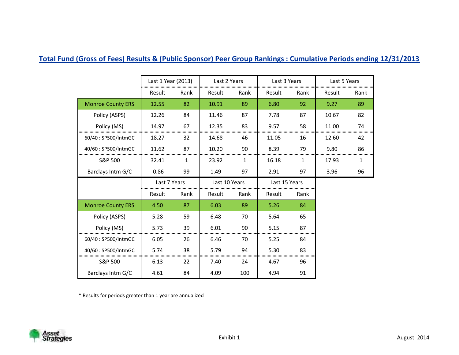#### **Total Fund (Gross of Fees) Results & (Public Sponsor) Peer Group Rankings : Cumulative Periods ending 12/31/2013**

|                          | Last 1 Year (2013) |      | Last 2 Years  |      | Last 3 Years  |      | Last 5 Years |      |
|--------------------------|--------------------|------|---------------|------|---------------|------|--------------|------|
|                          | Result             | Rank | Result        | Rank | Result        | Rank | Result       | Rank |
| <b>Monroe County ERS</b> | 12.55              | 82   | 10.91         | 89   | 6.80          | 92   | 9.27         | 89   |
| Policy (ASPS)            | 12.26              | 84   | 11.46         | 87   | 7.78          | 87   | 10.67        | 82   |
| Policy (MS)              | 14.97              | 67   | 12.35         | 83   | 9.57          | 58   | 11.00        | 74   |
| 60/40: SP500/IntmGC      | 18.27              | 32   | 14.68         | 46   | 11.05         | 16   | 12.60        | 42   |
| 40/60: SP500/IntmGC      | 11.62              | 87   | 10.20         | 90   | 8.39          | 79   | 9.80         | 86   |
| S&P 500                  | 32.41              | 1    | 23.92         | 1    | 16.18         | 1    | 17.93        | 1    |
| Barclays Intm G/C        | $-0.86$            | 99   | 1.49          | 97   | 2.91          | 97   | 3.96         | 96   |
|                          |                    |      |               |      |               |      |              |      |
|                          | Last 7 Years       |      | Last 10 Years |      | Last 15 Years |      |              |      |
|                          | Result             | Rank | Result        | Rank | Result        | Rank |              |      |
| <b>Monroe County ERS</b> | 4.50               | 87   | 6.03          | 89   | 5.26          | 84   |              |      |
| Policy (ASPS)            | 5.28               | 59   | 6.48          | 70   | 5.64          | 65   |              |      |
| Policy (MS)              | 5.73               | 39   | 6.01          | 90   | 5.15          | 87   |              |      |
| 60/40: SP500/IntmGC      | 6.05               | 26   | 6.46          | 70   | 5.25          | 84   |              |      |
| 40/60: SP500/IntmGC      | 5.74               | 38   | 5.79          | 94   | 5.30          | 83   |              |      |
| S&P 500                  | 6.13               | 22   | 7.40          | 24   | 4.67          | 96   |              |      |

\* Results for periods greater than 1 year are annualized

![](_page_51_Picture_3.jpeg)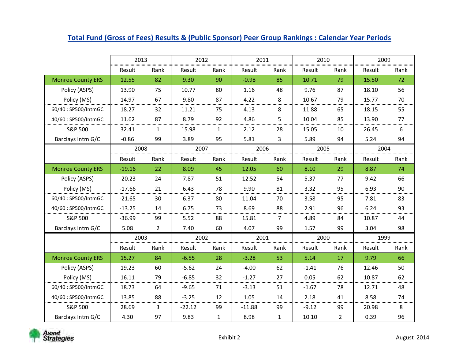|                          | 2013          |                | 2012     |              | 2011     |              | 2010          |                | 2009   |      |
|--------------------------|---------------|----------------|----------|--------------|----------|--------------|---------------|----------------|--------|------|
|                          | <b>Result</b> | Rank           | Result   | Rank         | Result   | Rank         | <b>Result</b> | Rank           | Result | Rank |
| <b>Monroe County ERS</b> | 12.55         | 82             | 9.30     | 90           | $-0.98$  | 85           | 10.71         | 79             | 15.50  | 72   |
| Policy (ASPS)            | 13.90         | 75             | 10.77    | 80           | 1.16     | 48           | 9.76          | 87             | 18.10  | 56   |
| Policy (MS)              | 14.97         | 67             | 9.80     | 87           | 4.22     | 8            | 10.67         | 79             | 15.77  | 70   |
| 60/40: SP500/IntmGC      | 18.27         | 32             | 11.21    | 75           | 4.13     | 8            | 11.88         | 65             | 18.15  | 55   |
| 40/60: SP500/IntmGC      | 11.62         | 87             | 8.79     | 92           | 4.86     | 5            | 10.04         | 85             | 13.90  | 77   |
| S&P 500                  | 32.41         | $\mathbf{1}$   | 15.98    | 1            | 2.12     | 28           | 15.05         | 10             | 26.45  | 6    |
| Barclays Intm G/C        | $-0.86$       | 99             | 3.89     | 95           | 5.81     | 3            | 5.89          | 94             | 5.24   | 94   |
|                          | 2008          |                | 2007     |              | 2006     |              | 2005          |                | 2004   |      |
|                          | Result        | Rank           | Result   | Rank         | Result   | Rank         | Result        | Rank           | Result | Rank |
| <b>Monroe County ERS</b> | $-19.16$      | 22             | 8.09     | 45           | 12.05    | 60           | 8.10          | 29             | 8.87   | 74   |
| Policy (ASPS)            | $-20.23$      | 24             | 7.87     | 51           | 12.52    | 54           | 5.37          | 77             | 9.42   | 66   |
| Policy (MS)              | $-17.66$      | 21             | 6.43     | 78           | 9.90     | 81           | 3.32          | 95             | 6.93   | 90   |
| 60/40: SP500/IntmGC      | $-21.65$      | 30             | 6.37     | 80           | 11.04    | 70           | 3.58          | 95             | 7.81   | 83   |
| 40/60: SP500/IntmGC      | $-13.25$      | 14             | 6.75     | 73           | 8.69     | 88           | 2.91          | 96             | 6.24   | 93   |
| S&P 500                  | $-36.99$      | 99             | 5.52     | 88           | 15.81    | 7            | 4.89          | 84             | 10.87  | 44   |
| Barclays Intm G/C        | 5.08          | $\overline{2}$ | 7.40     | 60           | 4.07     | 99           | 1.57          | 99             | 3.04   | 98   |
|                          | 2003          |                | 2002     |              | 2001     |              | 2000          |                | 1999   |      |
|                          | Result        | Rank           | Result   | Rank         | Result   | Rank         | Result        | Rank           | Result | Rank |
| <b>Monroe County ERS</b> | 15.27         | 84             | $-6.55$  | 28           | $-3.28$  | 53           | 5.14          | 17             | 9.79   | 66   |
| Policy (ASPS)            | 19.23         | 60             | $-5.62$  | 24           | $-4.00$  | 62           | $-1.41$       | 76             | 12.46  | 50   |
| Policy (MS)              | 16.11         | 79             | $-6.85$  | 32           | $-1.27$  | 27           | 0.05          | 62             | 10.87  | 62   |
| 60/40: SP500/IntmGC      | 18.73         | 64             | $-9.65$  | 71           | $-3.13$  | 51           | $-1.67$       | 78             | 12.71  | 48   |
| 40/60: SP500/IntmGC      | 13.85         | 88             | $-3.25$  | 12           | 1.05     | 14           | 2.18          | 41             | 8.58   | 74   |
| S&P 500                  | 28.69         | 3              | $-22.12$ | 99           | $-11.88$ | 99           | $-9.12$       | 99             | 20.98  | 8    |
| Barclays Intm G/C        | 4.30          | 97             | 9.83     | $\mathbf{1}$ | 8.98     | $\mathbf{1}$ | 10.10         | $\overline{2}$ | 0.39   | 96   |

#### **Total Fund (Gross of Fees) Results & (Public Sponsor) Peer Group Rankings : Calendar Year Periods**

![](_page_52_Picture_2.jpeg)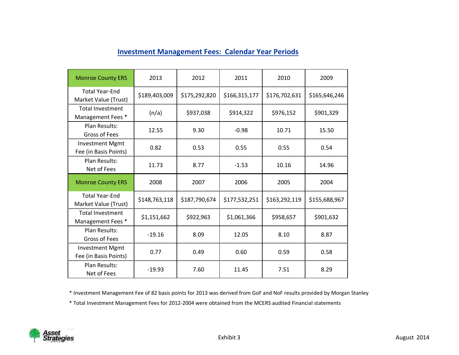| <b>Monroe County ERS</b>                        | 2013          | 2012          | 2011          | 2010          | 2009          |
|-------------------------------------------------|---------------|---------------|---------------|---------------|---------------|
| <b>Total Year-End</b><br>Market Value (Trust)   | \$189,403,009 | \$175,292,820 | \$166,315,177 | \$176,702,631 | \$165,646,246 |
| <b>Total Investment</b><br>Management Fees *    | (n/a)         | \$937,038     | \$914,322     | \$976,152     | \$901,329     |
| Plan Results:<br>Gross of Fees                  | 12.55         | 9.30          | $-0.98$       | 10.71         | 15.50         |
| <b>Investment Mgmt</b><br>Fee (in Basis Points) | 0.82          | 0.53          | 0.55          | 0.55          | 0.54          |
| Plan Results:<br>Net of Fees                    | 11.73         | 8.77          | $-1.53$       | 10.16         | 14.96         |
|                                                 |               |               |               |               |               |
| <b>Monroe County ERS</b>                        | 2008          | 2007          | 2006          | 2005          | 2004          |
| <b>Total Year-End</b><br>Market Value (Trust)   | \$148,763,118 | \$187,790,674 | \$177,532,251 | \$163,292,119 | \$155,688,967 |
| <b>Total Investment</b><br>Management Fees *    | \$1,151,662   | \$922,963     | \$1,061,366   | \$958,657     | \$901,632     |
| <b>Plan Results:</b><br><b>Gross of Fees</b>    | $-19.16$      | 8.09          | 12.05         | 8.10          | 8.87          |
| <b>Investment Mgmt</b><br>Fee (in Basis Points) | 0.77          | 0.49          | 0.60          | 0.59          | 0.58          |

\* Investment Management Fee of 82 basis points for 2013 was derived from GoF and NoF results provided by Morgan Stanley

\* Total Investment Management Fees for 2012-2004 were obtained from the MCERS audited Financial statements

![](_page_53_Picture_4.jpeg)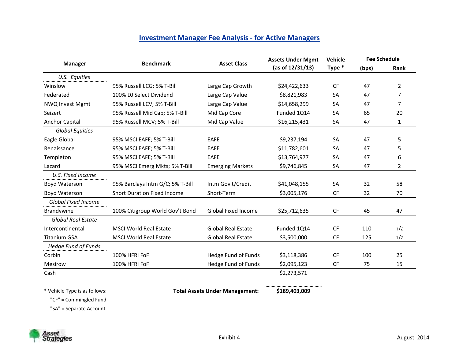#### **Investment Manager Fee Analysis - for Active Managers**

|                            | <b>Benchmark</b>                   | <b>Asset Class</b>         | <b>Assets Under Mgmt</b> | Vehicle   | <b>Fee Schedule</b> |      |
|----------------------------|------------------------------------|----------------------------|--------------------------|-----------|---------------------|------|
| <b>Manager</b>             |                                    |                            | (as of 12/31/13)         | Type *    | (bps)               | Rank |
| U.S. Equities              |                                    |                            |                          |           |                     |      |
| Winslow                    | 95% Russell LCG; 5% T-Bill         | Large Cap Growth           | \$24,422,633             | <b>CF</b> | 47                  | 2    |
| Federated                  | 100% DJ Select Dividend            | Large Cap Value            | \$8,821,983              | SA        | 47                  | 7    |
| <b>NWQ Invest Mgmt</b>     | 95% Russell LCV; 5% T-Bill         | Large Cap Value            | \$14,658,299             | SA        | 47                  | 7    |
| Seizert                    | 95% Russell Mid Cap; 5% T-Bill     | Mid Cap Core               | Funded 1Q14              | SA        | 65                  | 20   |
| <b>Anchor Capital</b>      | 95% Russell MCV; 5% T-Bill         | Mid Cap Value              | \$16,215,431             | SA        | 47                  | 1    |
| <b>Global Equities</b><br> |                                    |                            |                          |           |                     |      |
| Eagle Global               | 95% MSCI EAFE; 5% T-Bill           | <b>EAFE</b>                | \$9,237,194              | <b>SA</b> | 47                  | 5    |
| Renaissance                | 95% MSCI EAFE; 5% T-Bill           | <b>EAFE</b>                | \$11,782,601             | SA        | 47                  | 5    |
| Templeton                  | 95% MSCI EAFE; 5% T-Bill           | <b>EAFE</b>                | \$13,764,977             | <b>SA</b> | 47                  | 6    |
| Lazard                     | 95% MSCI Emerg Mkts; 5% T-Bill     | <b>Emerging Markets</b>    | \$9,746,845              | SA        | 47                  | 2    |
| U.S. Fixed Income          |                                    |                            |                          |           |                     |      |
| Boyd Waterson              | 95% Barclays Intm G/C; 5% T-Bill   | Intm Gov't/Credit          | \$41,048,155             | <b>SA</b> | 32                  | 58   |
| Boyd Waterson              | <b>Short Duration Fixed Income</b> | Short-Term                 | \$3,005,176              | <b>CF</b> | 32                  | 70   |
| <b>Global Fixed Income</b> |                                    |                            |                          |           |                     |      |
| <b>Brandywine</b>          | 100% Citigroup World Gov't Bond    | <b>Global Fixed Income</b> | \$25,712,635             | CF        | 45                  | 47   |
| <b>Global Real Estate</b>  |                                    |                            |                          |           |                     |      |
| Intercontinental           | <b>MSCI World Real Estate</b>      | <b>Global Real Estate</b>  | Funded 1Q14              | CF        | 110                 | n/a  |
| <b>Titanium GSA</b>        | <b>MSCI World Real Estate</b>      | <b>Global Real Estate</b>  | \$3,500,000              | <b>CF</b> | 125                 | n/a  |
| <b>Hedge Fund of Funds</b> |                                    |                            |                          |           |                     |      |
| Corbin                     | 100% HFRI FoF                      | Hedge Fund of Funds        | \$3,118,386              | <b>CF</b> | 100                 | 25   |
| Mesirow                    | 100% HFRI FoF                      | Hedge Fund of Funds        | \$2,095,123              | <b>CF</b> | 75                  | 15   |
| Cash                       |                                    |                            | \$2,273,571              |           |                     |      |

\* Vehicle Type is as follows: **Total Assets Under Management: \$189,403,009**

"CF" = Commingled Fund

"SA" = Separate Account

![](_page_54_Picture_5.jpeg)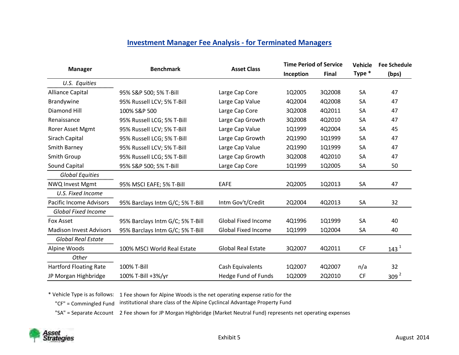#### **Investment Manager Fee Analysis - for Terminated Managers**

|                                |                                  | <b>Asset Class</b>         | <b>Time Period of Service</b> |              | <b>Vehicle</b> | <b>Fee Schedule</b> |
|--------------------------------|----------------------------------|----------------------------|-------------------------------|--------------|----------------|---------------------|
| <b>Manager</b>                 | <b>Benchmark</b>                 |                            | Inception                     | <b>Final</b> | Type *         | (bps)               |
| U.S. Equities                  |                                  |                            |                               |              |                |                     |
| <b>Alliance Capital</b>        | 95% S&P 500; 5% T-Bill           | Large Cap Core             | 1Q2005                        | 3Q2008       | <b>SA</b>      | 47                  |
| Brandywine                     | 95% Russell LCV; 5% T-Bill       | Large Cap Value            | 4Q2004                        | 4Q2008       | <b>SA</b>      | 47                  |
| <b>Diamond Hill</b>            | 100% S&P 500                     | Large Cap Core             | 3Q2008                        | 4Q2011       | <b>SA</b>      | 47                  |
| Renaissance                    | 95% Russell LCG; 5% T-Bill       | Large Cap Growth           | 3Q2008                        | 4Q2010       | <b>SA</b>      | 47                  |
| Rorer Asset Mgmt               | 95% Russell LCV; 5% T-Bill       | Large Cap Value            | 1Q1999                        | 4Q2004       | <b>SA</b>      | 45                  |
| Sirach Capital                 | 95% Russell LCG; 5% T-Bill       | Large Cap Growth           | 2Q1990                        | 1Q1999       | <b>SA</b>      | 47                  |
| <b>Smith Barney</b>            | 95% Russell LCV; 5% T-Bill       | Large Cap Value            | 2Q1990                        | 1Q1999       | <b>SA</b>      | 47                  |
| Smith Group                    | 95% Russell LCG; 5% T-Bill       | Large Cap Growth           | 3Q2008                        | 4Q2010       | <b>SA</b>      | 47                  |
| Sound Capital                  | 95% S&P 500; 5% T-Bill           | Large Cap Core             | 1Q1999                        | 1Q2005       | <b>SA</b>      | 50                  |
| <b>Global Equities</b>         |                                  |                            |                               |              |                |                     |
| NWQ Invest Mgmt                | 95% MSCI EAFE; 5% T-Bill         | <b>EAFE</b>                | 2Q2005                        | 1Q2013       | <b>SA</b>      | 47                  |
| U.S. Fixed Income              |                                  |                            |                               |              |                |                     |
| Pacific Income Advisors        | 95% Barclays Intm G/C; 5% T-Bill | Intm Gov't/Credit          | 2Q2004                        | 4Q2013       | <b>SA</b>      | 32                  |
| <b>Global Fixed Income</b>     |                                  |                            |                               |              |                |                     |
| Fox Asset                      | 95% Barclays Intm G/C; 5% T-Bill | <b>Global Fixed Income</b> | 4Q1996                        | 1Q1999       | <b>SA</b>      | 40                  |
| <b>Madison Invest Advisors</b> | 95% Barclays Intm G/C; 5% T-Bill | <b>Global Fixed Income</b> | 1Q1999                        | 1Q2004       | <b>SA</b>      | 40                  |
| <b>Global Real Estate</b>      |                                  |                            |                               |              |                |                     |
| Alpine Woods                   | 100% MSCI World Real Estate      | <b>Global Real Estate</b>  | 3Q2007                        | 4Q2011       | <b>CF</b>      | 143 <sup>1</sup>    |
| Other<br>                      |                                  |                            |                               |              |                |                     |
| <b>Hartford Floating Rate</b>  | 100% T-Bill                      | Cash Equivalents           | 1Q2007                        | 4Q2007       | n/a            | 32                  |
| JP Morgan Highbridge           | 100% T-Bill +3%/yr               | <b>Hedge Fund of Funds</b> | 1Q2009                        | 2Q2010       | <b>CF</b>      | 309 <sup>2</sup>    |

\* Vehicle Type is as follows: 1 Fee shown for Alpine Woods is the net operating expense ratio for the

"CF" = Commingled Fund institutional share class of the Alpine Cyclincal Advantage Property Fund

"SA" = Separate Account 2 Fee shown for JP Morgan Highbridge (Market Neutral Fund) represents net operating expenses

![](_page_55_Picture_5.jpeg)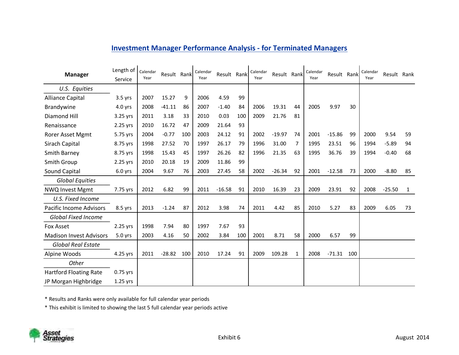| <b>Manager</b>                                   | Length of<br>Service | Calendar<br>Year | Result Rank |     | Calendar<br>Year | Result Rank |     | Calendar<br>Year | Result Rank |              | Calendar<br>Year | Result Rank |     | Calendar<br>Year | Result Rank |              |
|--------------------------------------------------|----------------------|------------------|-------------|-----|------------------|-------------|-----|------------------|-------------|--------------|------------------|-------------|-----|------------------|-------------|--------------|
| U.S. Equities<br>                                |                      |                  |             |     |                  |             |     |                  |             |              |                  |             |     |                  |             |              |
| <b>Alliance Capital</b>                          | $3.5$ yrs            | 2007             | 15.27       | 9   | 2006             | 4.59        | 99  |                  |             |              |                  |             |     |                  |             |              |
| Brandywine                                       | $4.0$ yrs            | 2008             | $-41.11$    | 86  | 2007             | $-1.40$     | 84  | 2006             | 19.31       | 44           | 2005             | 9.97        | 30  |                  |             |              |
| <b>Diamond Hill</b>                              | 3.25 yrs             | 2011             | 3.18        | 33  | 2010             | 0.03        | 100 | 2009             | 21.76       | 81           |                  |             |     |                  |             |              |
| Renaissance                                      | 2.25 yrs             | 2010             | 16.72       | 47  | 2009             | 21.64       | 93  |                  |             |              |                  |             |     |                  |             |              |
| Rorer Asset Mgmt                                 | 5.75 yrs             | 2004             | $-0.77$     | 100 | 2003             | 24.12       | 91  | 2002             | $-19.97$    | 74           | 2001             | $-15.86$    | 99  | 2000             | 9.54        | 59           |
| Sirach Capital                                   | 8.75 yrs             | 1998             | 27.52       | 70  | 1997             | 26.17       | 79  | 1996             | 31.00       | 7            | 1995             | 23.51       | 96  | 1994             | $-5.89$     | 94           |
| <b>Smith Barney</b>                              | 8.75 yrs             | 1998             | 15.43       | 45  | 1997             | 26.26       | 82  | 1996             | 21.35       | 63           | 1995             | 36.76       | 39  | 1994             | $-0.40$     | 68           |
| <b>Smith Group</b>                               | 2.25 yrs             | 2010             | 20.18       | 19  | 2009             | 11.86       | 99  |                  |             |              |                  |             |     |                  |             |              |
| Sound Capital                                    | $6.0$ yrs            | 2004             | 9.67        | 76  | 2003             | 27.45       | 58  | 2002             | $-26.34$    | 92           | 2001             | $-12.58$    | 73  | 2000             | $-8.80$     | 85           |
| <b>Global Equities</b><br><b>NWQ Invest Mgmt</b> | 7.75 yrs             | 2012             | 6.82        | 99  | 2011             | $-16.58$    | 91  | 2010             | 16.39       | 23           | 2009             | 23.91       | 92  | 2008             | $-25.50$    | $\mathbf{1}$ |
| U.S. Fixed Income                                |                      |                  |             |     |                  |             |     |                  |             |              |                  |             |     |                  |             |              |
| <b>Pacific Income Advisors</b>                   | 8.5 yrs              | 2013             | $-1.24$     | 87  | 2012             | 3.98        | 74  | 2011             | 4.42        | 85           | 2010             | 5.27        | 83  | 2009             | 6.05        | 73           |
| <b>Global Fixed Income</b><br><b>Fox Asset</b>   | 2.25 yrs             | 1998             | 7.94        | 80  | 1997             | 7.67        | 93  |                  |             |              |                  |             |     |                  |             |              |
| <b>Madison Invest Advisors</b>                   | $5.0$ yrs            | 2003             | 4.16        | 50  | 2002             | 3.84        | 100 | 2001             | 8.71        | 58           | 2000             | 6.57        | 99  |                  |             |              |
| <b>Global Real Estate</b>                        |                      |                  |             |     |                  |             |     |                  |             |              |                  |             |     |                  |             |              |
| Alpine Woods                                     | 4.25 yrs             | 2011             | $-28.82$    | 100 | 2010             | 17.24       | 91  | 2009             | 109.28      | $\mathbf{1}$ | 2008             | $-71.31$    | 100 |                  |             |              |
| Other<br><b>Hartford Floating Rate</b>           | 0.75 yrs             |                  |             |     |                  |             |     |                  |             |              |                  |             |     |                  |             |              |
| JP Morgan Highbridge                             | $1.25$ yrs           |                  |             |     |                  |             |     |                  |             |              |                  |             |     |                  |             |              |

#### **Investment Manager Performance Analysis - for Terminated Managers**

\* Results and Ranks were only available for full calendar year periods

\* This exhibit is limited to showing the last 5 full calendar year periods active

![](_page_56_Picture_4.jpeg)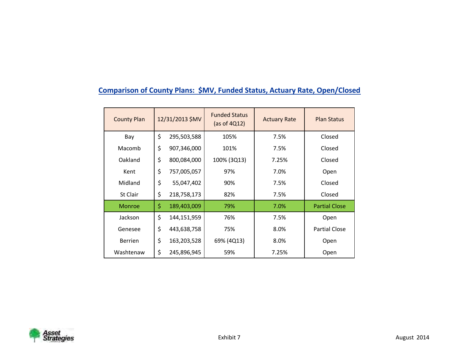### **Comparison of County Plans: \$MV, Funded Status, Actuary Rate, Open/Closed**

| <b>County Plan</b> | 12/31/2013 \$MV   | <b>Funded Status</b><br>(as of $4Q12$ ) | <b>Actuary Rate</b> | <b>Plan Status</b>   |
|--------------------|-------------------|-----------------------------------------|---------------------|----------------------|
| Bay                | \$<br>295,503,588 | 105%                                    | 7.5%                | Closed               |
| Macomb             | \$<br>907,346,000 | 101%                                    | 7.5%                | Closed               |
| Oakland            | \$<br>800,084,000 | 100% (3Q13)                             | 7.25%               | Closed               |
| Kent               | \$<br>757,005,057 | 97%                                     | 7.0%                | Open                 |
| Midland            | \$<br>55,047,402  | 90%                                     | 7.5%                | Closed               |
| St Clair           | \$<br>218,758,173 | 82%                                     | 7.5%                | Closed               |
| <b>Monroe</b>      | \$<br>189,403,009 | 79%                                     | 7.0%                | <b>Partial Close</b> |
| Jackson            | \$<br>144,151,959 | 76%                                     | 7.5%                | Open                 |
| Genesee            | \$<br>443,638,758 | 75%                                     | 8.0%                | <b>Partial Close</b> |
| <b>Berrien</b>     | \$<br>163,203,528 | 69% (4Q13)                              | 8.0%                | Open                 |
| Washtenaw          | \$<br>245,896,945 | 59%                                     | 7.25%               | Open                 |

![](_page_57_Picture_2.jpeg)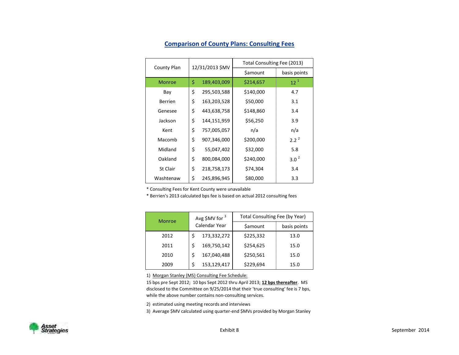|                | 12/31/2013 \$MV   | Total Consulting Fee (2013) |                  |  |  |  |
|----------------|-------------------|-----------------------------|------------------|--|--|--|
| County Plan    |                   | \$amount                    | basis points     |  |  |  |
| <b>Monroe</b>  | \$<br>189,403,009 | \$214,657                   | $12^{1}$         |  |  |  |
| Bay            | \$<br>295,503,588 | \$140,000                   | 4.7              |  |  |  |
| <b>Berrien</b> | \$<br>163,203,528 | \$50,000                    | 3.1              |  |  |  |
| Genesee        | \$<br>443,638,758 | \$148,860                   | 3.4              |  |  |  |
| Jackson        | \$<br>144,151,959 | \$56,250                    | 3.9              |  |  |  |
| Kent           | \$<br>757,005,057 | n/a                         | n/a              |  |  |  |
| Macomb         | \$<br>907,346,000 | \$200,000                   | $2.2^{2}$        |  |  |  |
| Midland        | \$<br>55,047,402  | \$32,000                    | 5.8              |  |  |  |
| Oakland        | \$<br>800,084,000 | \$240,000                   | 3.0 <sup>2</sup> |  |  |  |
| St Clair       | \$<br>218,758,173 | \$74,304                    | 3.4              |  |  |  |
| Washtenaw      | \$<br>245,896,945 | \$80,000                    | 3.3              |  |  |  |

#### **Comparison of County Plans: Consulting Fees**

\* Consulting Fees for Kent County were unavailable

\* Berrien's 2013 calculated bps fee is based on actual 2012 consulting fees

| <b>Monroe</b> |             | Avg \$MV for $3$ | Total Consulting Fee (by Year) |              |  |  |
|---------------|-------------|------------------|--------------------------------|--------------|--|--|
|               |             | Calendar Year    | \$amount                       | basis points |  |  |
| 2012          | 173,332,272 |                  | \$225,332                      | 13.0         |  |  |
| 2011          |             | 169,750,142      | \$254,625                      | 15.0         |  |  |
| 2010          | \$          | 167,040,488      | \$250,561                      | 15.0         |  |  |
| 2009          |             | 153,129,417      | \$229,694                      | 15.0         |  |  |

1) Morgan Stanley (MS) Consulting Fee Schedule:

15 bps pre Sept 2012; 10 bps Sept 2012 thru April 2013; **12 bps thereafter**. MS disclosed to the Committee on 9/25/2014 that their 'true consulting' fee is 7 bps, while the above number contains non-consulting services.

2) estimated using meeting records and interviews

3) Average \$MV calculated using quarter-end \$MVs provided by Morgan Stanley

![](_page_58_Picture_9.jpeg)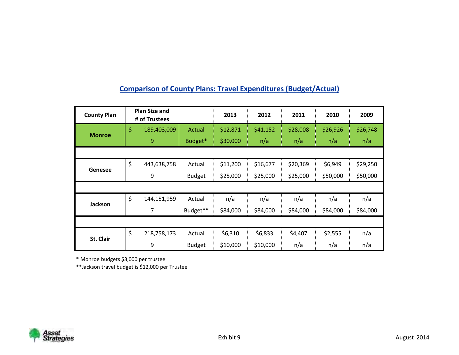| <b>County Plan</b> | <b>Plan Size and</b><br># of Trustees |               | 2013     | 2012     | 2011     | 2010     | 2009     |
|--------------------|---------------------------------------|---------------|----------|----------|----------|----------|----------|
| <b>Monroe</b>      | \$<br>189,403,009                     | Actual        | \$12,871 | \$41,152 | \$28,008 | \$26,926 | \$26,748 |
|                    | 9                                     | Budget*       | \$30,000 | n/a      | n/a      | n/a      | n/a      |
|                    |                                       |               |          |          |          |          |          |
|                    | \$<br>443,638,758                     | Actual        | \$11,200 | \$16,677 | \$20,369 | \$6,949  | \$29,250 |
| Genesee            | 9                                     | <b>Budget</b> | \$25,000 | \$25,000 | \$25,000 | \$50,000 | \$50,000 |
|                    |                                       |               |          |          |          |          |          |
| Jackson            | \$<br>144,151,959                     | Actual        | n/a      | n/a      | n/a      | n/a      | n/a      |
|                    | 7                                     | Budget**      | \$84,000 | \$84,000 | \$84,000 | \$84,000 | \$84,000 |
|                    |                                       |               |          |          |          |          |          |
| St. Clair          | \$<br>218,758,173                     | Actual        | \$6,310  | \$6,833  | \$4,407  | \$2,555  | n/a      |
|                    | 9                                     | <b>Budget</b> | \$10,000 | \$10,000 | n/a      | n/a      | n/a      |

### **Comparison of County Plans: Travel Expenditures (Budget/Actual)**

\* Monroe budgets \$3,000 per trustee

\*\*Jackson travel budget is \$12,000 per Trustee

![](_page_59_Picture_4.jpeg)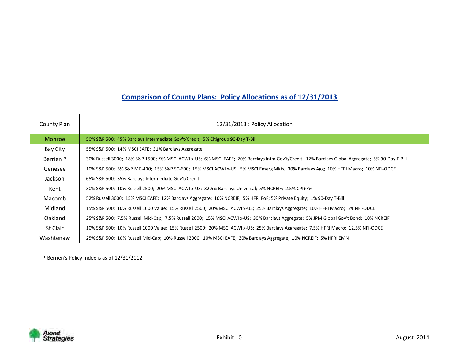### **Comparison of County Plans: Policy Allocations as of 12/31/2013**

| County Plan          | 12/31/2013 : Policy Allocation                                                                                                                   |
|----------------------|--------------------------------------------------------------------------------------------------------------------------------------------------|
| <b>Monroe</b>        | 50% S&P 500; 45% Barclays Intermediate Gov't/Credit; 5% Citigroup 90-Day T-Bill                                                                  |
| Bay City             | 55% S&P 500; 14% MSCI EAFE; 31% Barclays Aggregate                                                                                               |
| Berrien <sup>*</sup> | 30% Russell 3000; 18% S&P 1500; 9% MSCI ACWI x-US; 6% MSCI EAFE; 20% Barclays Intm Gov't/Credit; 12% Barclays Global Aggregate; 5% 90-Day T-Bill |
| Genesee              | 10% S&P 500; 5% S&P MC-400; 15% S&P SC-600; 15% MSCI ACWI x-US; 5% MSCI Emerg Mkts; 30% Barclays Agg; 10% HFRI Macro; 10% NFI-ODCE               |
| Jackson              | 65% S&P 500; 35% Barclays Intermediate Gov't/Credit                                                                                              |
| Kent                 | 30% S&P 500; 10% Russell 2500; 20% MSCI ACWI x-US; 32.5% Barclays Universal; 5% NCREIF; 2.5% CPI+7%                                              |
| Macomb               | 52% Russell 3000; 15% MSCI EAFE; 12% Barclays Aggregate; 10% NCREIF; 5% HFRI FoF; 5% Private Equity; 1% 90-Day T-Bill                            |
| Midland              | 15% S&P 500; 10% Russell 1000 Value; 15% Russell 2500; 20% MSCI ACWI x-US; 25% Barclays Aggregate; 10% HFRI Macro; 5% NFI-ODCE                   |
| Oakland              | 25% S&P 500; 7.5% Russell Mid-Cap; 7.5% Russell 2000; 15% MSCI ACWI x-US; 30% Barclays Aggregate; 5% JPM Global Gov't Bond; 10% NCREIF           |
| St Clair             | 10% S&P 500; 10% Russell 1000 Value; 15% Russell 2500; 20% MSCI ACWI x-US; 25% Barclays Aggregate; 7.5% HFRI Macro; 12.5% NFI-ODCE               |
| Washtenaw            | 25% S&P 500; 10% Russell Mid-Cap; 10% Russell 2000; 10% MSCI EAFE; 30% Barclays Aggregate; 10% NCREIF; 5% HFRI EMN                               |

\* Berrien's Policy Index is as of 12/31/2012

![](_page_60_Picture_3.jpeg)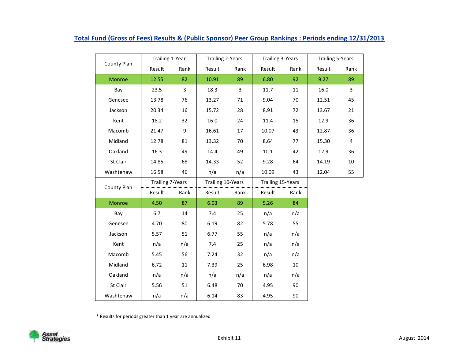| County Plan | Trailing 1-Year         |                | <b>Trailing 2-Years</b> |                | <b>Trailing 3-Years</b>  |      | <b>Trailing 5-Years</b> |                         |  |
|-------------|-------------------------|----------------|-------------------------|----------------|--------------------------|------|-------------------------|-------------------------|--|
|             | Result                  | Rank           | Result                  | Rank           | Result                   | Rank | Result                  | Rank                    |  |
| Monroe      | 12.55                   | 82             | 10.91                   | 89             | 6.80                     | 92   | 9.27                    | 89                      |  |
| Bay         | 23.5                    | $\overline{3}$ | 18.3                    | $\overline{3}$ | 11.7                     | 11   | 16.0                    | $\overline{3}$          |  |
| Genesee     | 13.78                   | 76             | 13.27                   | 71             | 9.04                     | 70   | 12.51                   | 45                      |  |
| Jackson     | 20.34                   | 16             | 15.72                   | 28             | 8.91                     | 72   | 13.67                   | 21                      |  |
| Kent        | 18.2                    | 32             | 16.0                    | 24             | 11.4                     | 15   | 12.9                    | 36                      |  |
| Macomb      | 21.47                   | 9              | 16.61                   | 17             | 10.07                    | 43   | 12.87                   | 36                      |  |
| Midland     | 12.78                   | 81             | 13.32                   | 70             | 8.64                     | 77   | 15.30                   | $\overline{\mathbf{4}}$ |  |
| Oakland     | 16.3                    | 49             | 14.4                    | 49             | 10.1                     | 42   | 12.9                    | 36                      |  |
| St Clair    | 14.85                   | 68             | 14.33                   | 52             | 9.28                     | 64   | 14.19                   | $10\,$                  |  |
| Washtenaw   | 16.58                   | 46             | n/a                     | n/a            | 10.09                    | 43   | 12.04                   | 55                      |  |
| County Plan | <b>Trailing 7-Years</b> |                | Trailing 10-Years       |                | <b>Trailing 15-Years</b> |      |                         |                         |  |
|             | Result                  | Rank           | Result                  | Rank           | Result                   | Rank |                         |                         |  |
| Monroe      | 4.50                    | 87             | 6.03                    | 89             | 5.26                     | 84   |                         |                         |  |
| Bay         | 6.7                     | 14             | 7.4                     | 25             | n/a                      | n/a  |                         |                         |  |
| Genesee     | 4.70                    | 80             | 6.19                    | 82             | 5.78                     | 55   |                         |                         |  |
| Jackson     | 5.57                    | 51             | 6.77                    | 55             | n/a                      | n/a  |                         |                         |  |
| Kent        | n/a                     | n/a            | 7.4                     | 25             | n/a                      | n/a  |                         |                         |  |
| Macomb      | 5.45                    | 56             | 7.24                    | 32             | n/a                      | n/a  |                         |                         |  |
| Midland     | 6.72                    | 11             | 7.39                    | 25             | 6.98                     | 10   |                         |                         |  |
| Oakland     | n/a                     | n/a            | n/a                     | n/a            | n/a                      | n/a  |                         |                         |  |
| St Clair    | 5.56                    | 51             | 6.48                    | 70             | 4.95                     | 90   |                         |                         |  |
| Washtenaw   | n/a                     | n/a            | 6.14                    | 83             | 4.95                     | 90   |                         |                         |  |

#### **Total Fund (Gross of Fees) Results & (Public Sponsor) Peer Group Rankings : Periods ending 12/31/2013**

\* Results for periods greater than 1 year are annualized

![](_page_61_Picture_3.jpeg)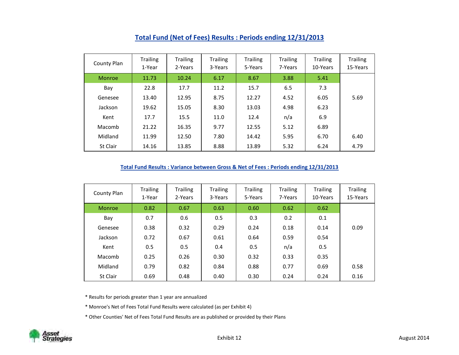| County Plan | <b>Trailing</b><br>1-Year | Trailing<br>2-Years | <b>Trailing</b><br>3-Years | <b>Trailing</b><br>5-Years | <b>Trailing</b><br>7-Years | <b>Trailing</b><br>10-Years | <b>Trailing</b><br>15-Years |
|-------------|---------------------------|---------------------|----------------------------|----------------------------|----------------------------|-----------------------------|-----------------------------|
| Monroe      | 11.73                     | 10.24               | 6.17                       | 8.67                       | 3.88                       | 5.41                        |                             |
| Bay         | 22.8                      | 17.7                | 11.2                       | 15.7                       | 6.5                        | 7.3                         |                             |
| Genesee     | 13.40                     | 12.95               | 8.75                       | 12.27                      | 4.52                       | 6.05                        | 5.69                        |
| Jackson     | 19.62                     | 15.05               | 8.30                       | 13.03                      | 4.98                       | 6.23                        |                             |
| Kent        | 17.7                      | 15.5                | 11.0                       | 12.4                       | n/a                        | 6.9                         |                             |
| Macomb      | 21.22                     | 16.35               | 9.77                       | 12.55                      | 5.12                       | 6.89                        |                             |
| Midland     | 11.99                     | 12.50               | 7.80                       | 14.42                      | 5.95                       | 6.70                        | 6.40                        |
| St Clair    | 14.16                     | 13.85               | 8.88                       | 13.89                      | 5.32                       | 6.24                        | 4.79                        |

#### **Total Fund (Net of Fees) Results : Periods ending 12/31/2013**

#### **Total Fund Results : Variance between Gross & Net of Fees : Periods ending 12/31/2013**

| County Plan | <b>Trailing</b><br>1-Year | <b>Trailing</b><br>2-Years | <b>Trailing</b><br>3-Years | Trailing<br>5-Years | <b>Trailing</b><br>7-Years | <b>Trailing</b><br>10-Years | <b>Trailing</b><br>15-Years |
|-------------|---------------------------|----------------------------|----------------------------|---------------------|----------------------------|-----------------------------|-----------------------------|
| Monroe      | 0.82                      | 0.67                       | 0.63                       | 0.60                | 0.62                       | 0.62                        |                             |
| Bay         | 0.7                       | 0.6                        | 0.5                        | 0.3                 | 0.2                        | 0.1                         |                             |
| Genesee     | 0.38                      | 0.32                       | 0.29                       | 0.24                | 0.18                       | 0.14                        | 0.09                        |
| Jackson     | 0.72                      | 0.67                       | 0.61                       | 0.64                | 0.59                       | 0.54                        |                             |
| Kent        | 0.5                       | 0.5                        | 0.4                        | 0.5                 | n/a                        | 0.5                         |                             |
| Macomb      | 0.25                      | 0.26                       | 0.30                       | 0.32                | 0.33                       | 0.35                        |                             |
| Midland     | 0.79                      | 0.82                       | 0.84                       | 0.88                | 0.77                       | 0.69                        | 0.58                        |
| St Clair    | 0.69                      | 0.48                       | 0.40                       | 0.30                | 0.24                       | 0.24                        | 0.16                        |

\* Results for periods greater than 1 year are annualized

\* Monroe's Net of Fees Total Fund Results were calculated (as per Exhibit 4)

\* Other Counties' Net of Fees Total Fund Results are as published or provided by their Plans

![](_page_62_Picture_7.jpeg)